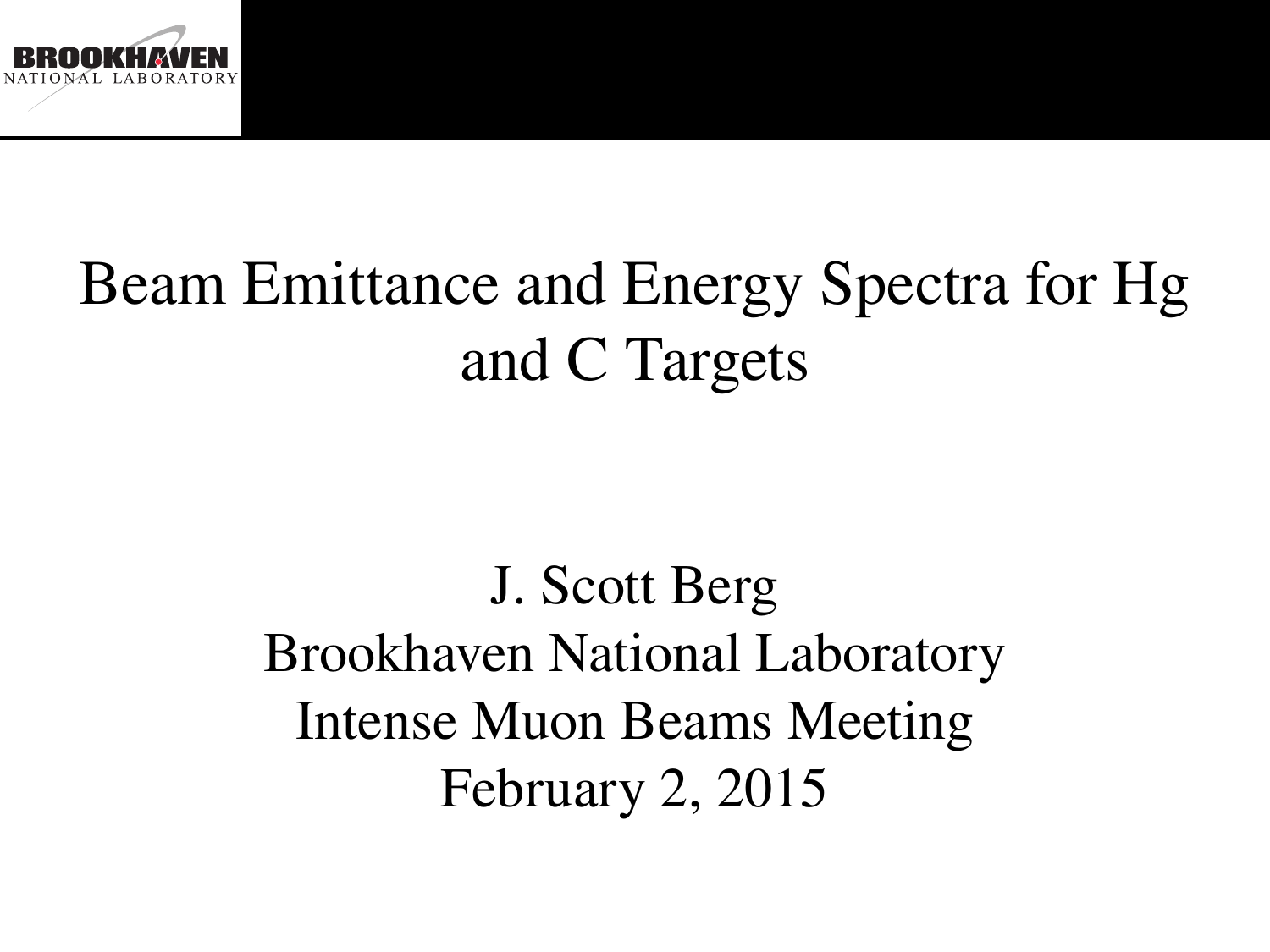

# Beam Emittance and Energy Spectra for Hg and C Targets

J. Scott Berg Brookhaven National Laboratory Intense Muon Beams Meeting February 2, 2015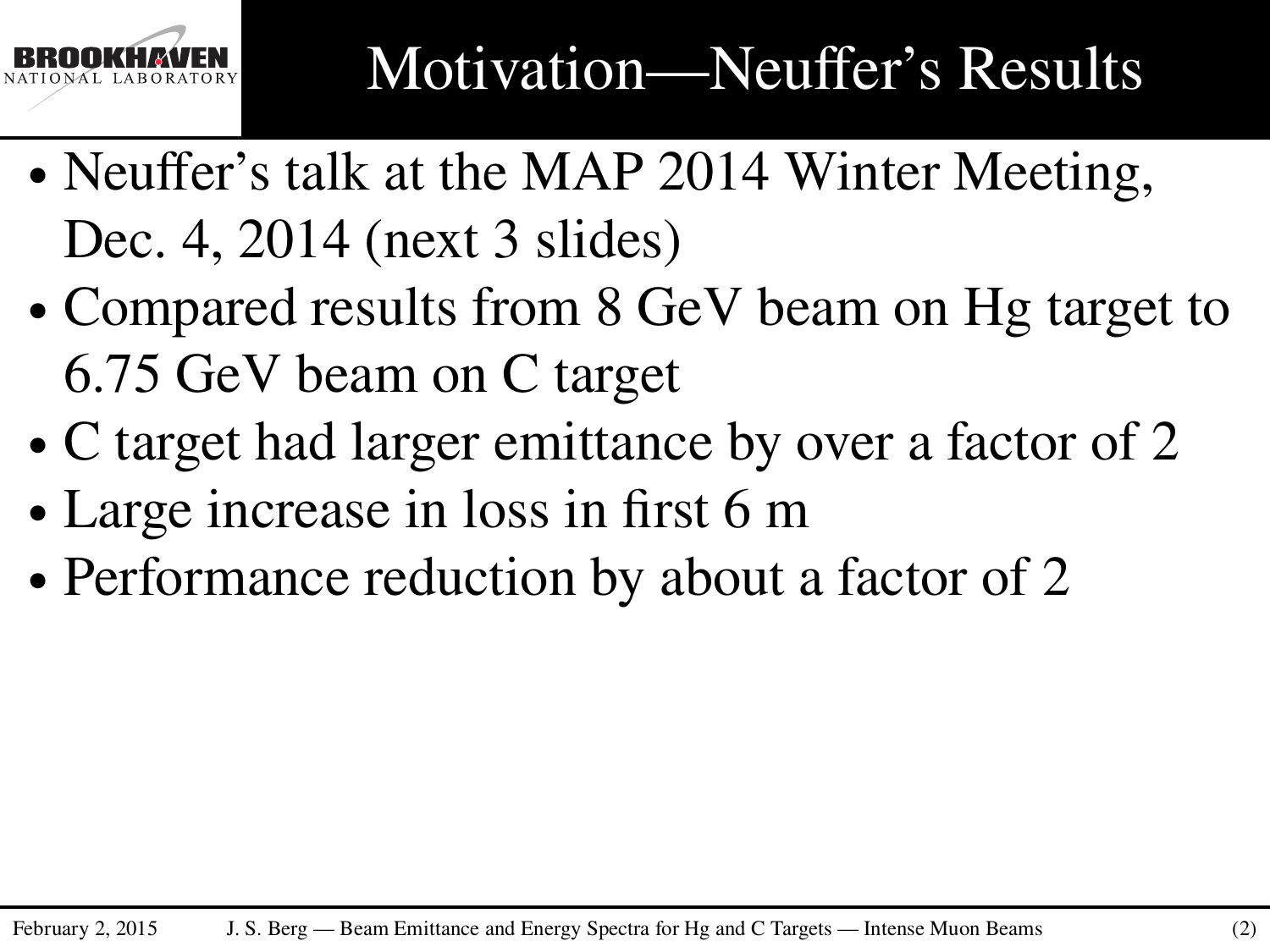

- ∙ Neuffer's talk at the MAP 2014 Winter Meeting, Dec. 4, 2014 (next 3 slides)
- ∙ Compared results from 8 GeV beam on Hg target to 6.75 GeV beam on C target
- ∙ C target had larger emittance by over a factor of 2
- ∙ Large increase in loss in first 6 m
- ∙ Performance reduction by about a factor of 2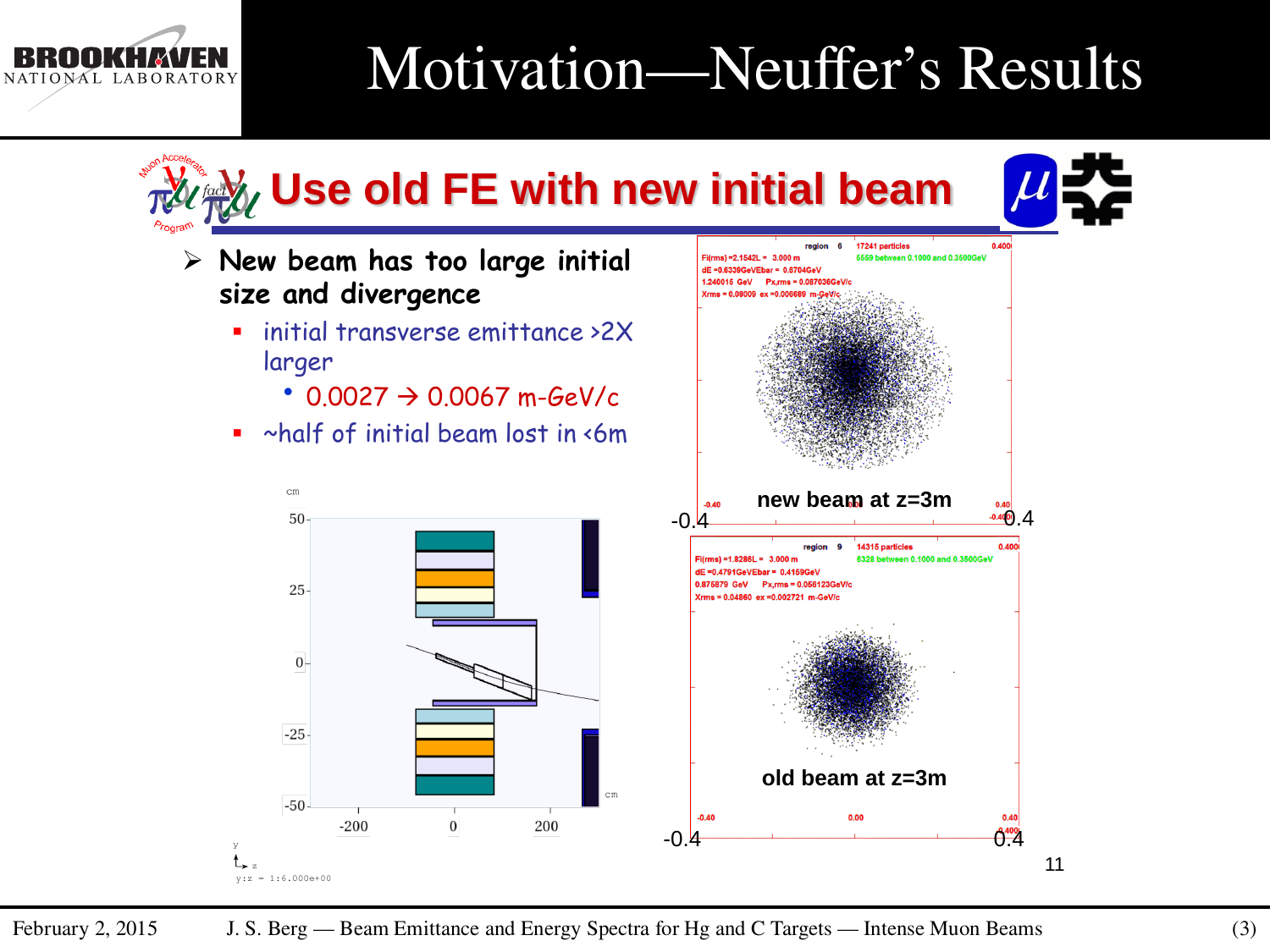#### Motivation—Neuffer's Results



NATIONAL LABORATORY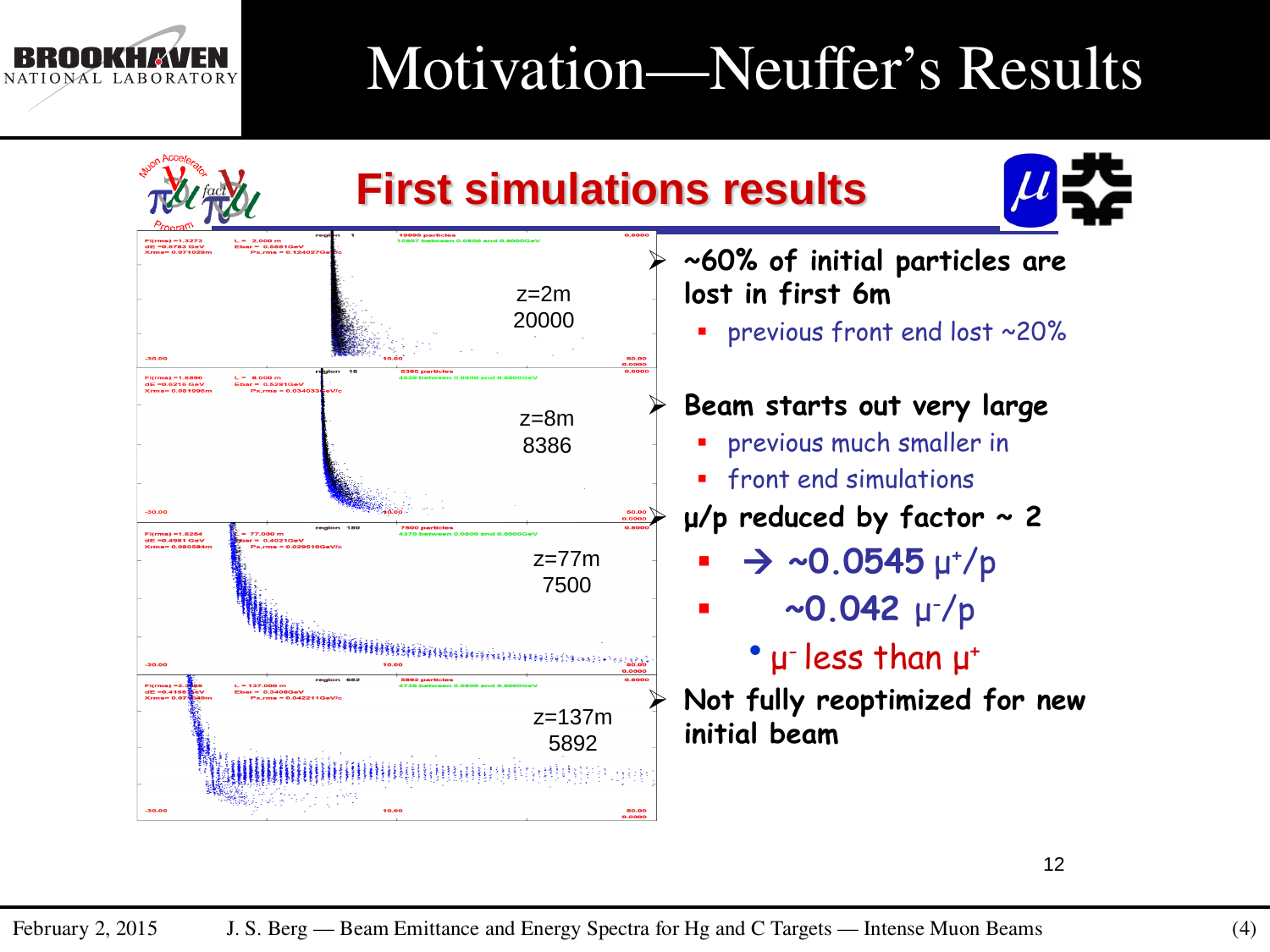

### Motivation—Neuffer's Results

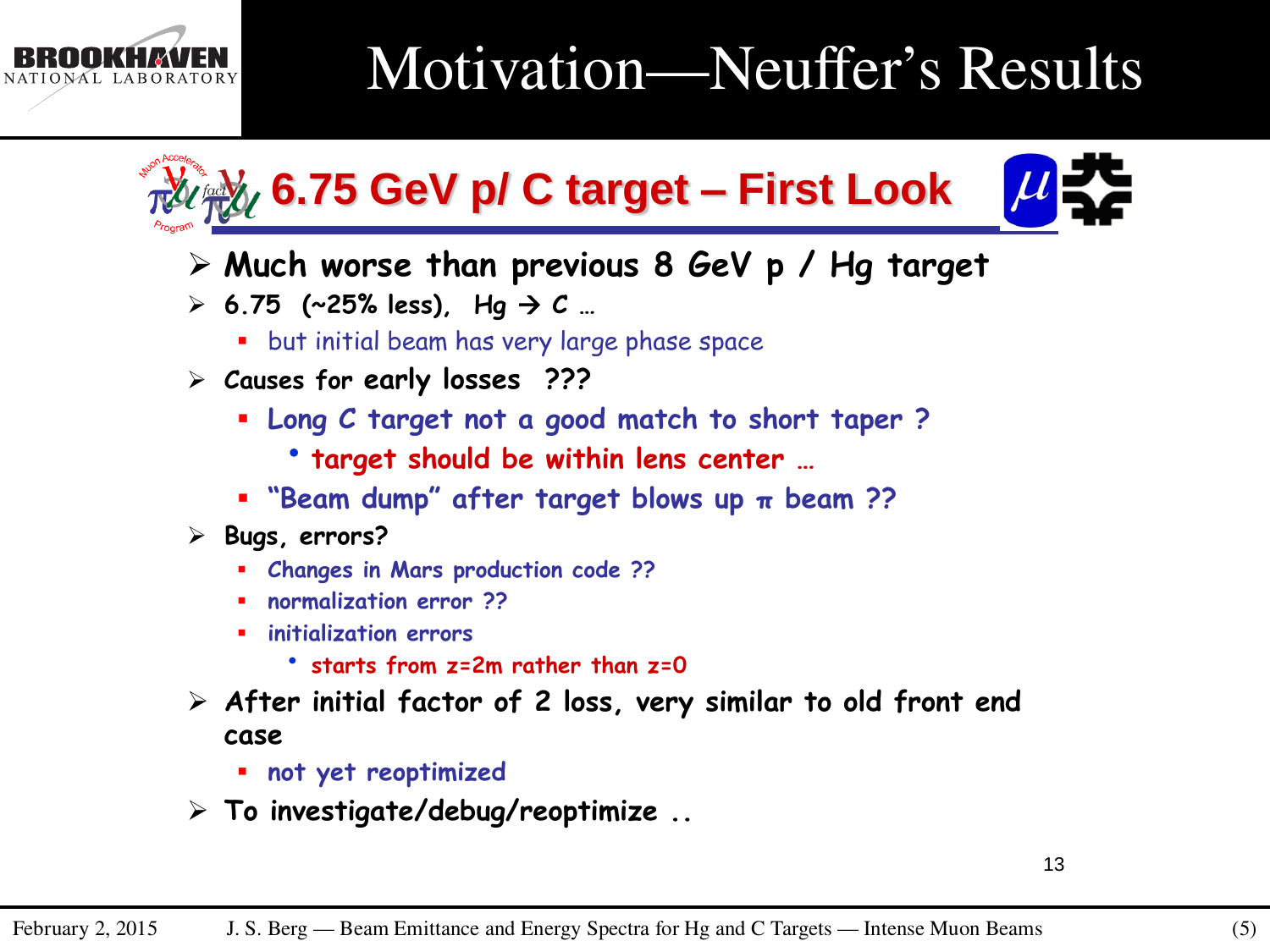

### Motivation—Neuffer's Results



- **Much worse than previous 8 GeV p / Hg target**
- $\geq 6.75$  (~25% less), Hg  $\rightarrow$  C ...
	- **•** but initial beam has very large phase space
- **Causes for early losses ???**
	- **Long C target not a good match to short taper ?**
		- **target should be within lens center …**
	- **"Beam dump" after target blows up π beam ??**
- **Bugs, errors?**
	- **Changes in Mars production code ??**
	- **normalization error ??**
	- **initialization errors**
		- **starts from z=2m rather than z=0**
- **After initial factor of 2 loss, very similar to old front end case**
	- **not yet reoptimized**
- **To investigate/debug/reoptimize ..**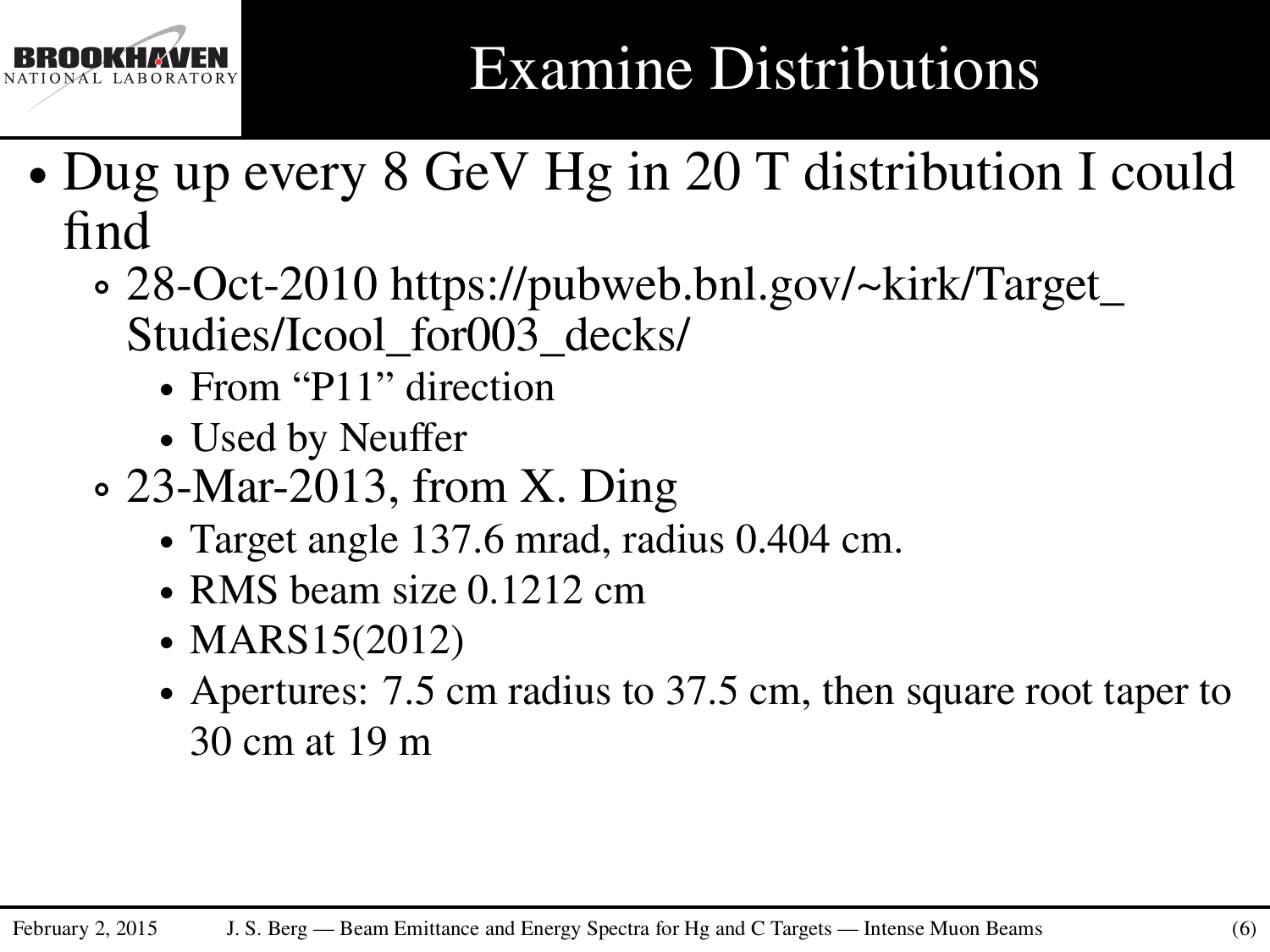

## Examine Distributions

- ∙ Dug up every 8 GeV Hg in 20 T distribution I could find
	- ∘ 28-Oct-2010 https://pubweb.bnl.gov/~kirk/Target\_ Studies/Icool\_for003\_decks/
		- ∙ From "P11" direction
		- ∙ Used by Neuffer
	- ∘ 23-Mar-2013, from X. Ding
		- ∙ Target angle 137.6 mrad, radius 0.404 cm.
		- ∙ RMS beam size 0.1212 cm
		- ∙ MARS15(2012)
		- ∙ Apertures: 7.5 cm radius to 37.5 cm, then square root taper to 30 cm at 19 m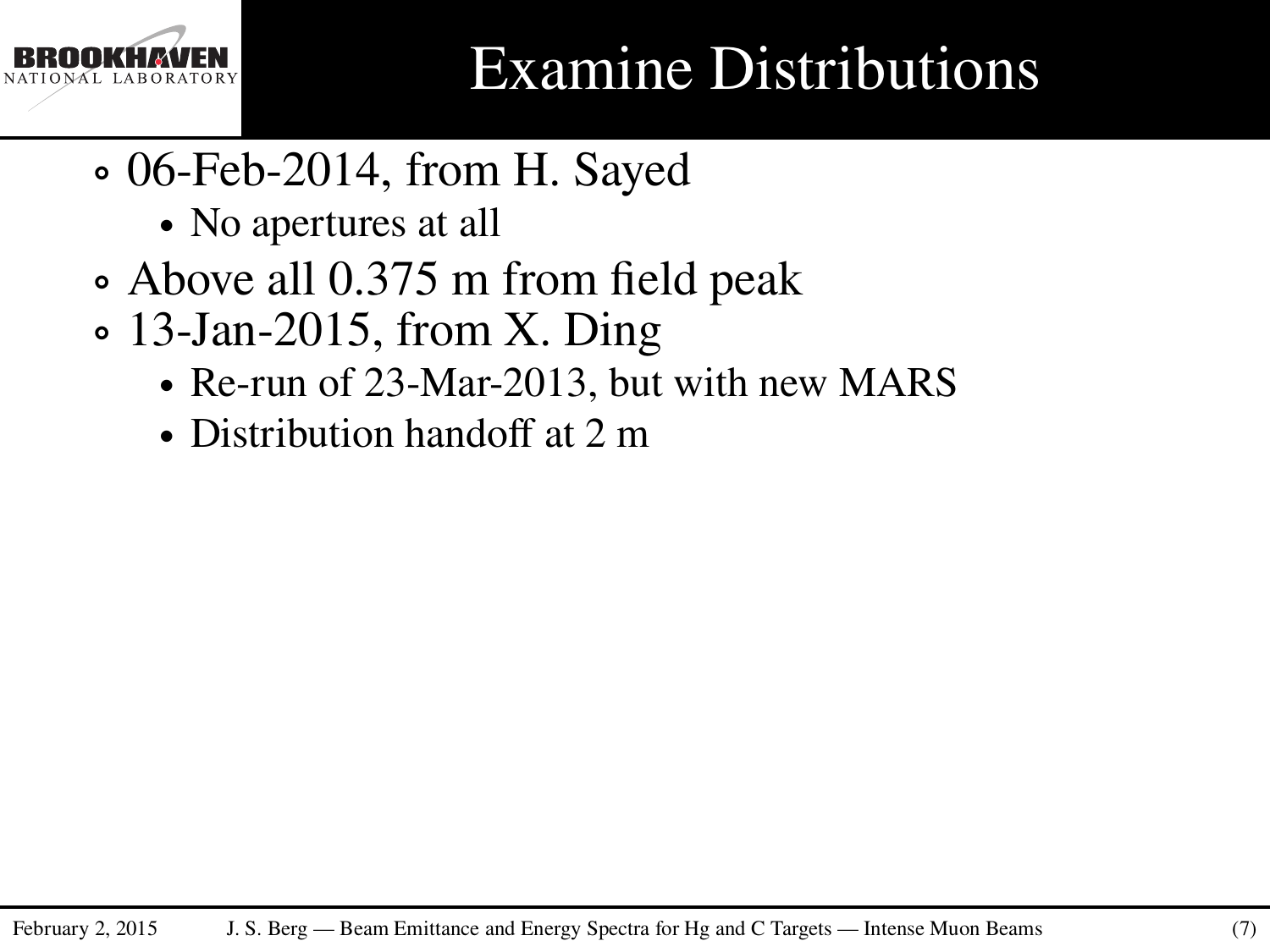

### Examine Distributions

- ∘ 06-Feb-2014, from H. Sayed
	- ∙ No apertures at all
- ∘ Above all 0.375 m from field peak
- ∘ 13-Jan-2015, from X. Ding
	- ∙ Re-run of 23-Mar-2013, but with new MARS
	- ∙ Distribution handoff at 2 m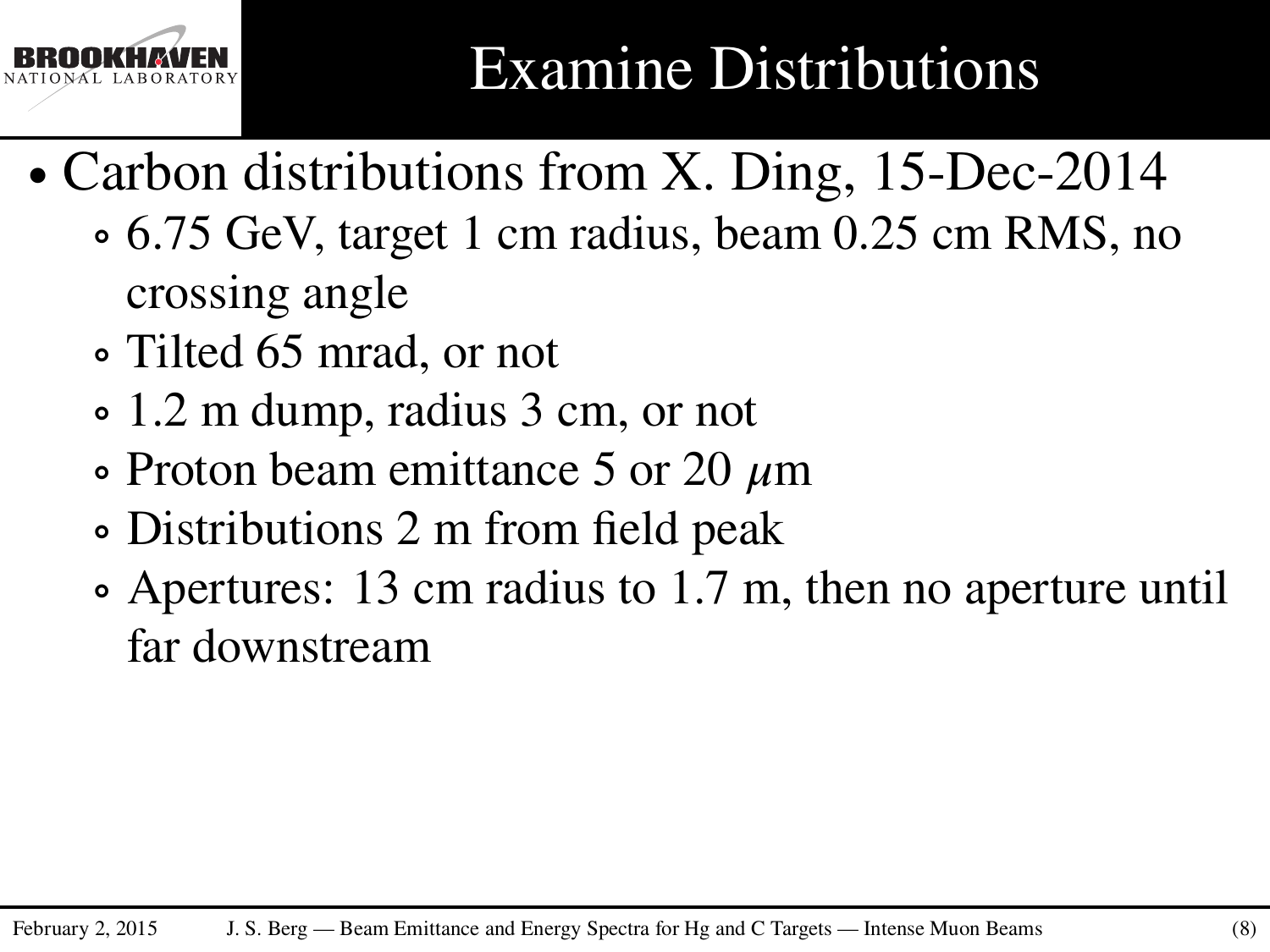

- ∙ Carbon distributions from X. Ding, 15-Dec-2014
	- ∘ 6.75 GeV, target 1 cm radius, beam 0.25 cm RMS, no crossing angle
	- ∘ Tilted 65 mrad, or not
	- ∘ 1.2 m dump, radius 3 cm, or not
	- ∘ Proton beam emittance 5 or 20 *𝜇*m
	- ∘ Distributions 2 m from field peak
	- ∘ Apertures: 13 cm radius to 1.7 m, then no aperture until far downstream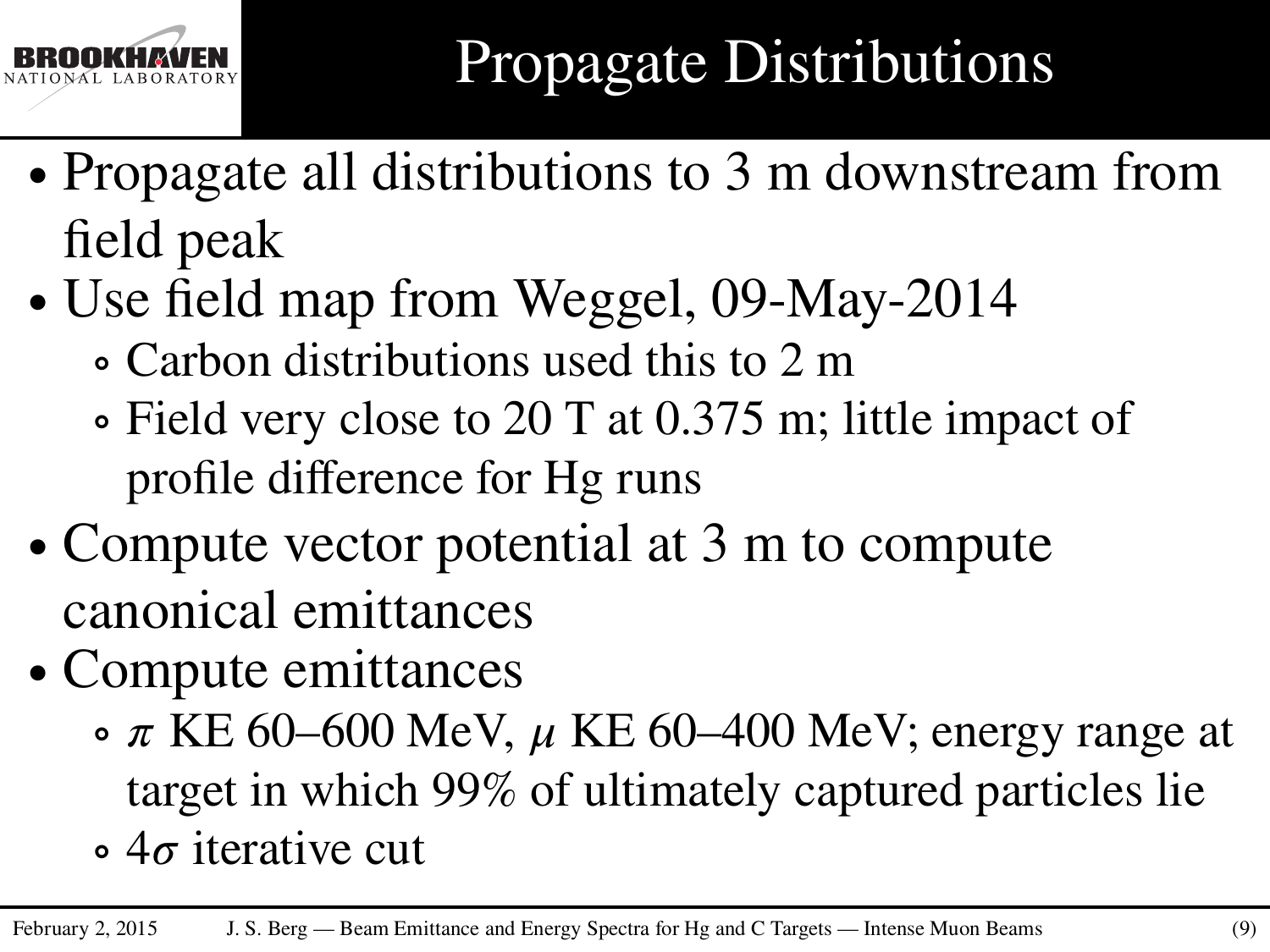

- ∙ Propagate all distributions to 3 m downstream from field peak
- ∙ Use field map from Weggel, 09-May-2014
	- ∘ Carbon distributions used this to 2 m
	- ∘ Field very close to 20 T at 0.375 m; little impact of profile difference for Hg runs
- ∙ Compute vector potential at 3 m to compute canonical emittances
- ∙ Compute emittances
	- $\sigma \pi$  KE 60–600 MeV,  $\mu$  KE 60–400 MeV; energy range at target in which 99% of ultimately captured particles lie
	- ∘ 4*𝜎* iterative cut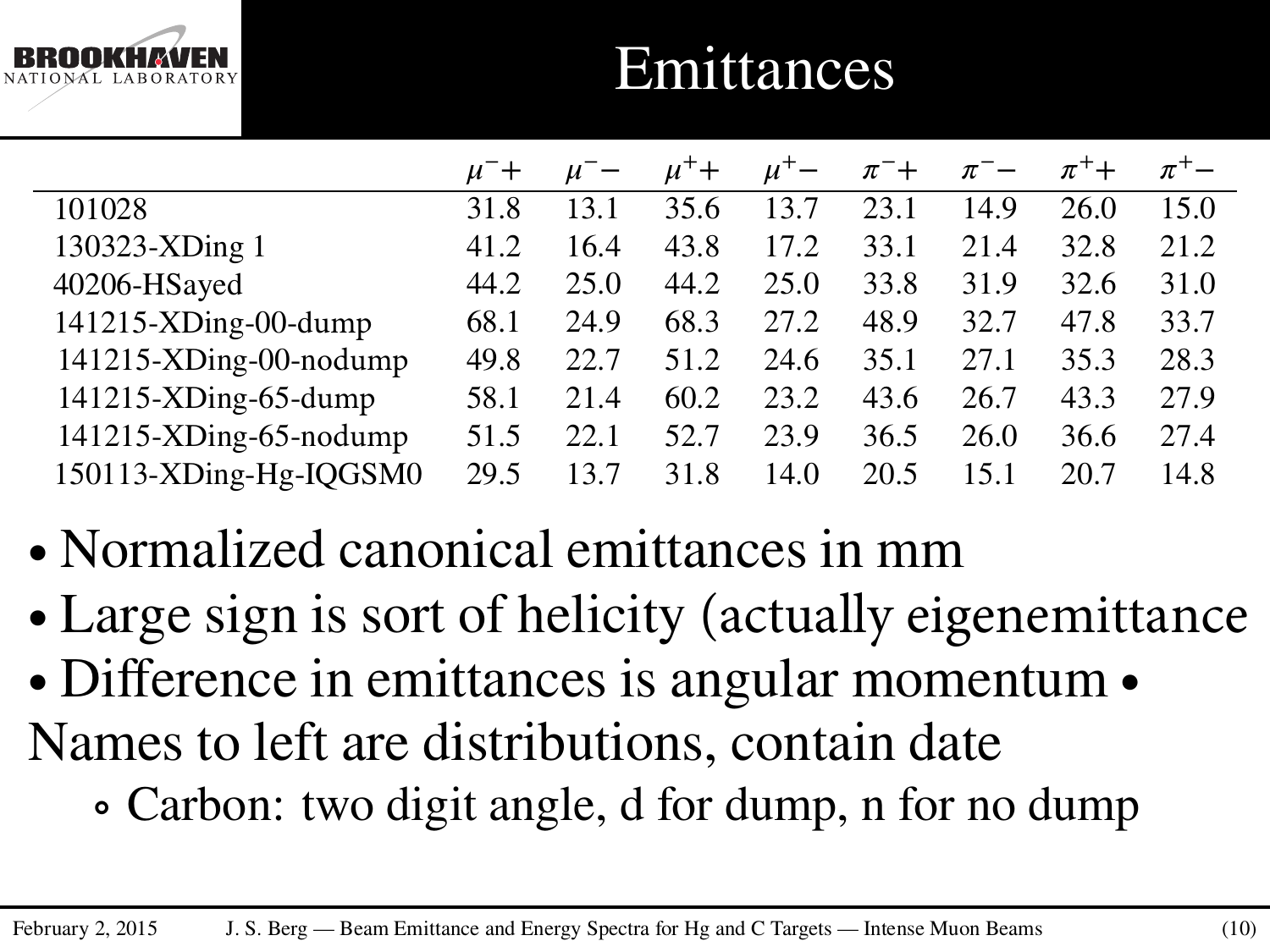

### **Emittances**

|                           | $\mu^-$ + | $\mu^-$ | $\mu^+$ + | $\mu^+$ – | $\pi^-$ + | $\pi^-$ | $\pi^+$ | $\pi$ <sup>+</sup> |
|---------------------------|-----------|---------|-----------|-----------|-----------|---------|---------|--------------------|
| 101028                    | 31.8      | 13.1    | 35.6      | 13.7      | 23.1      | 14.9    | 26.0    | 15.0               |
| 130323-XDing 1            | 41.2      | 16.4    | 43.8      | 17.2      | 33.1      | 21.4    | 32.8    | 21.2               |
| 40206-HSayed              | 44.2      | 25.0    | 44.2      | 25.0      | 33.8      | 31.9    | 32.6    | 31.0               |
| $141215$ -XDing-00-dump   | 68.1      | 24.9    | 68.3      | 27.2      | 48.9      | 32.7    | 47.8    | 33.7               |
| $141215$ -XDing-00-nodump | 49.8      | 22.7    | 51.2      | 24.6      | 35.1      | 27.1    | 35.3    | 28.3               |
| 141215-XDing-65-dump      | 58.1      | 21.4    | 60.2      | 23.2      | 43.6      | 26.7    | 43.3    | 27.9               |
| $141215$ -XDing-65-nodump | 51.5      | 22.1    | 52.7      | 23.9      | 36.5      | 26.0    | 36.6    | 27.4               |
| 150113-XDing-Hg-IQGSM0    | 29.5      | 13.7    | 31.8      | 14.0      | 20.5      | 15.1    | 20.7    | 14.8               |

- ∙ Normalized canonical emittances in mm
- ∙ Large sign is sort of helicity (actually eigenemittance
- ∙ Difference in emittances is angular momentum ∙ Names to left are distributions, contain date
	- ∘ Carbon: two digit angle, d for dump, n for no dump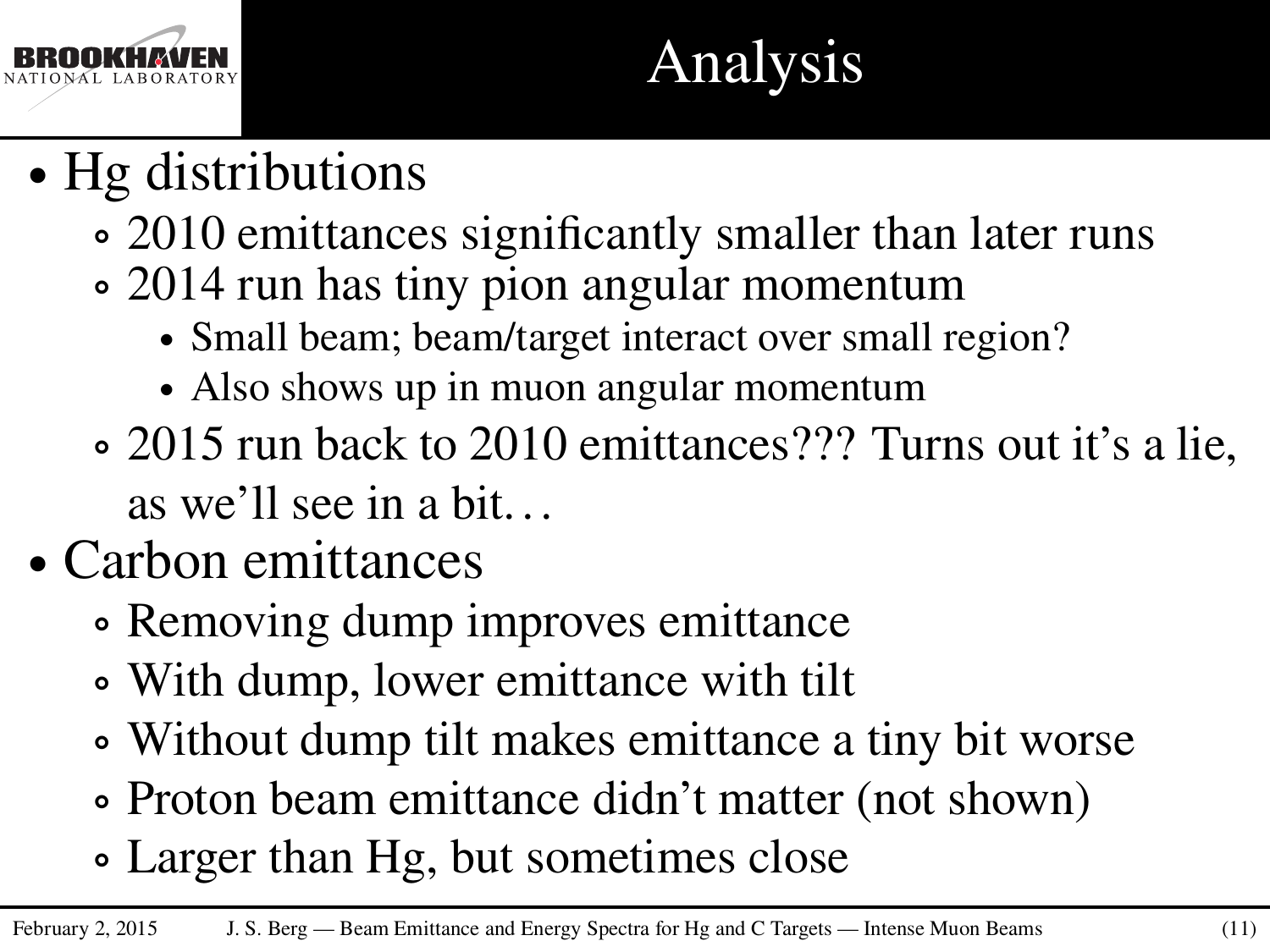

# Analysis

- ∙ Hg distributions
	- ∘ 2010 emittances significantly smaller than later runs
	- ∘ 2014 run has tiny pion angular momentum
		- ∙ Small beam; beam/target interact over small region?
		- ∙ Also shows up in muon angular momentum
	- ∘ 2015 run back to 2010 emittances??? Turns out it's a lie, as we'll see in a bit. . .
- ∙ Carbon emittances
	- ∘ Removing dump improves emittance
	- ∘ With dump, lower emittance with tilt
	- ∘ Without dump tilt makes emittance a tiny bit worse
	- ∘ Proton beam emittance didn't matter (not shown)
	- ∘ Larger than Hg, but sometimes close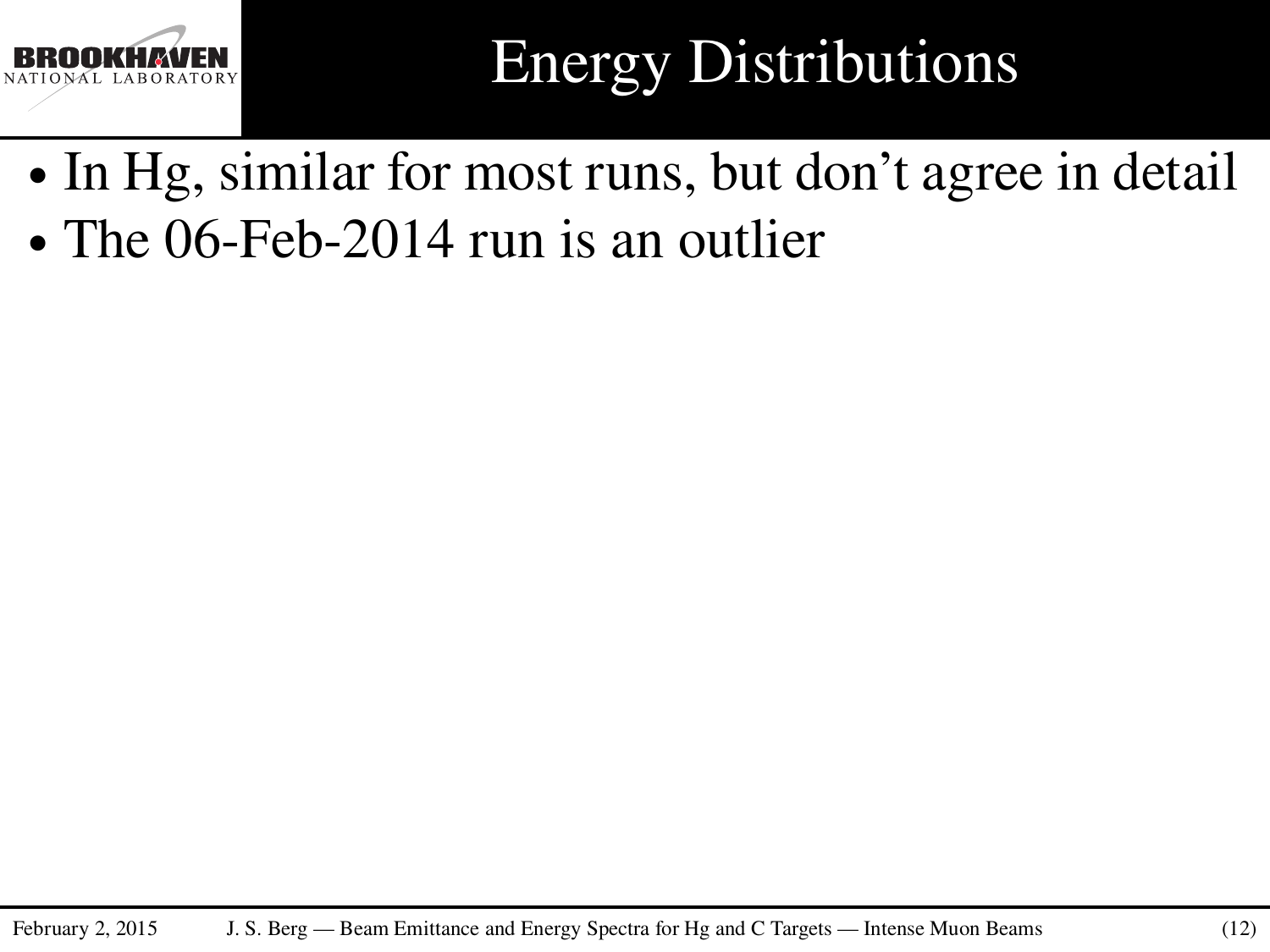

# Energy Distributions

- ∙ In Hg, similar for most runs, but don't agree in detail
- ∙ The 06-Feb-2014 run is an outlier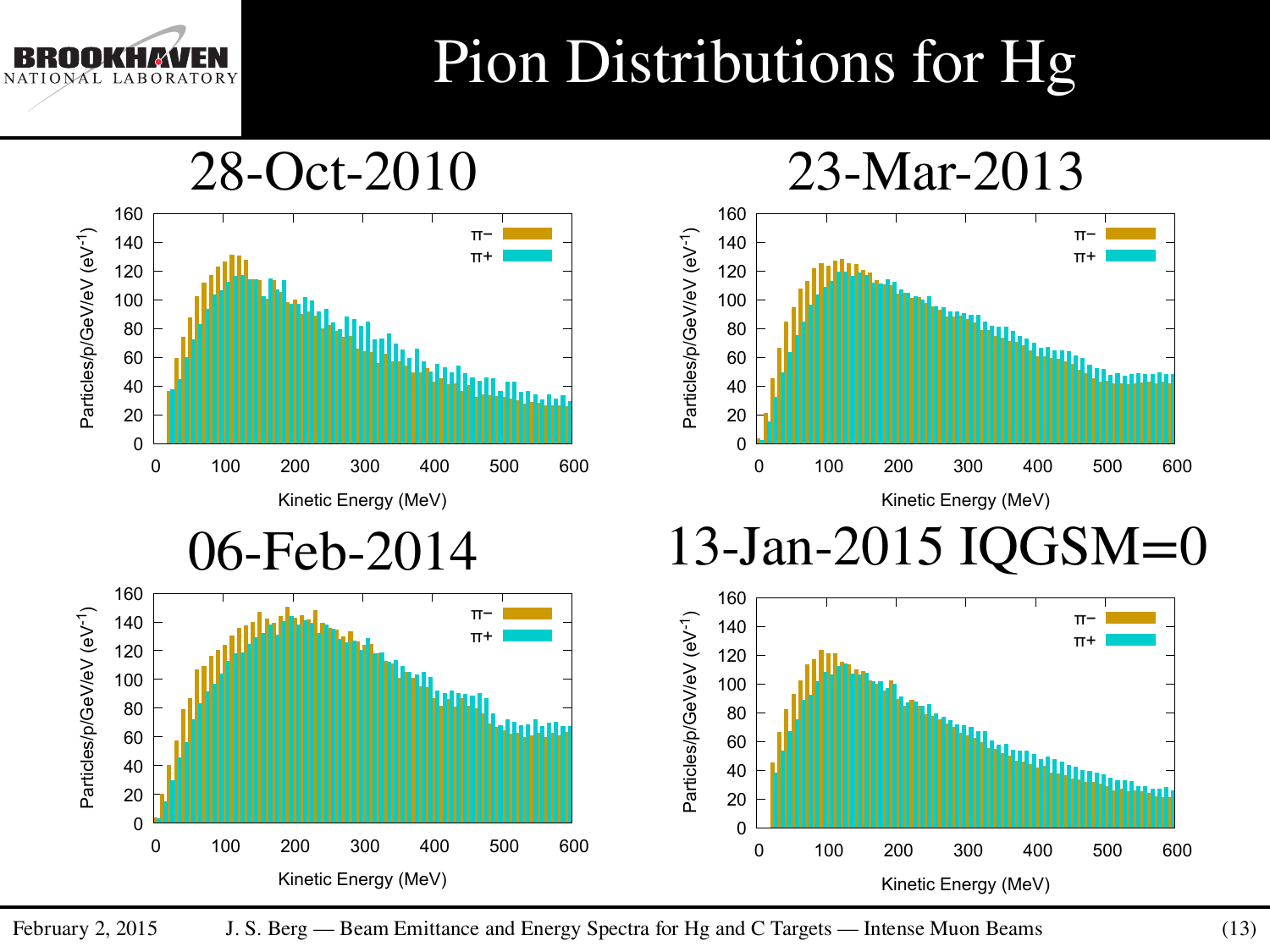## Pion Distributions for Hg

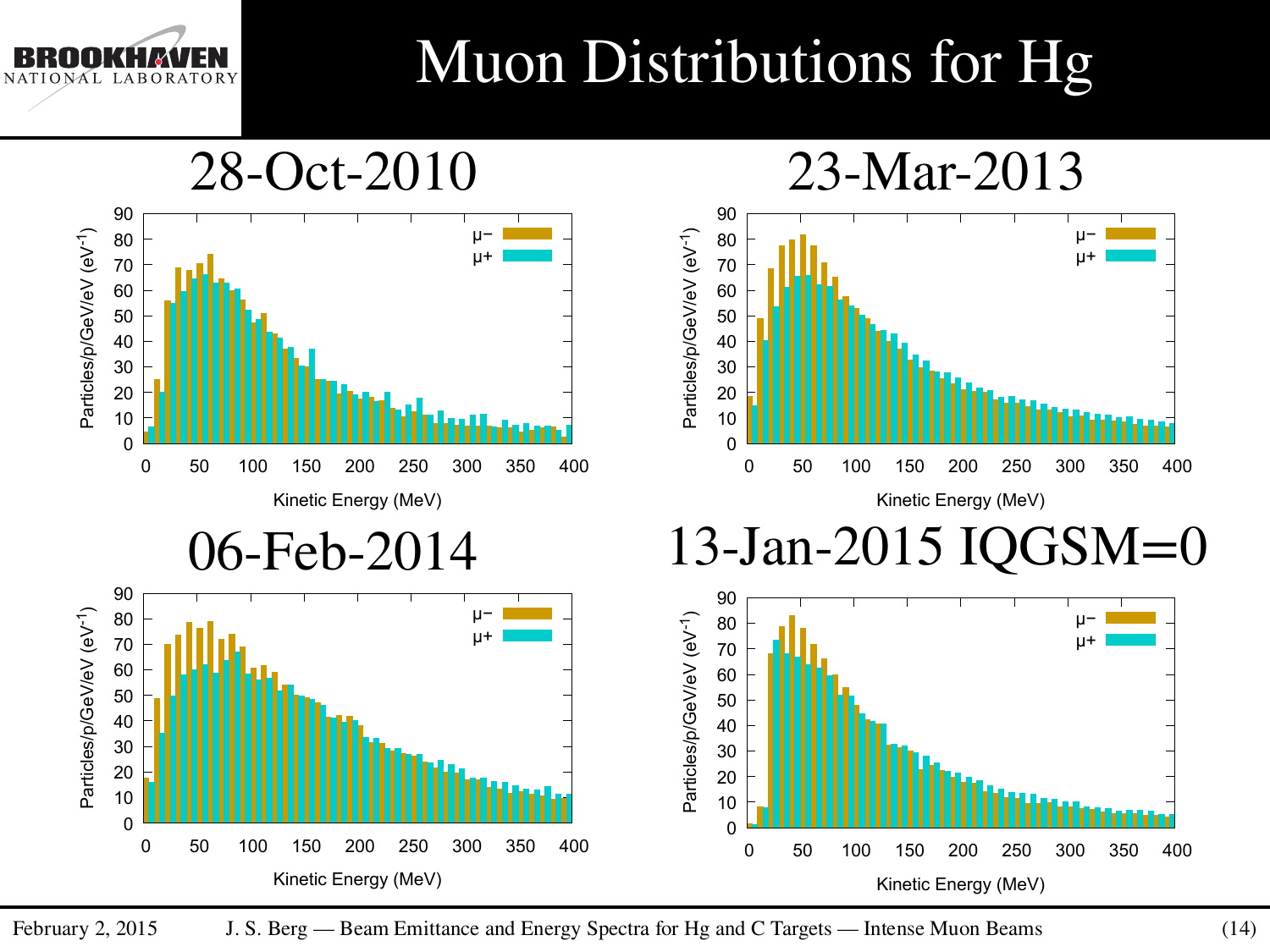

## Muon Distributions for Hg

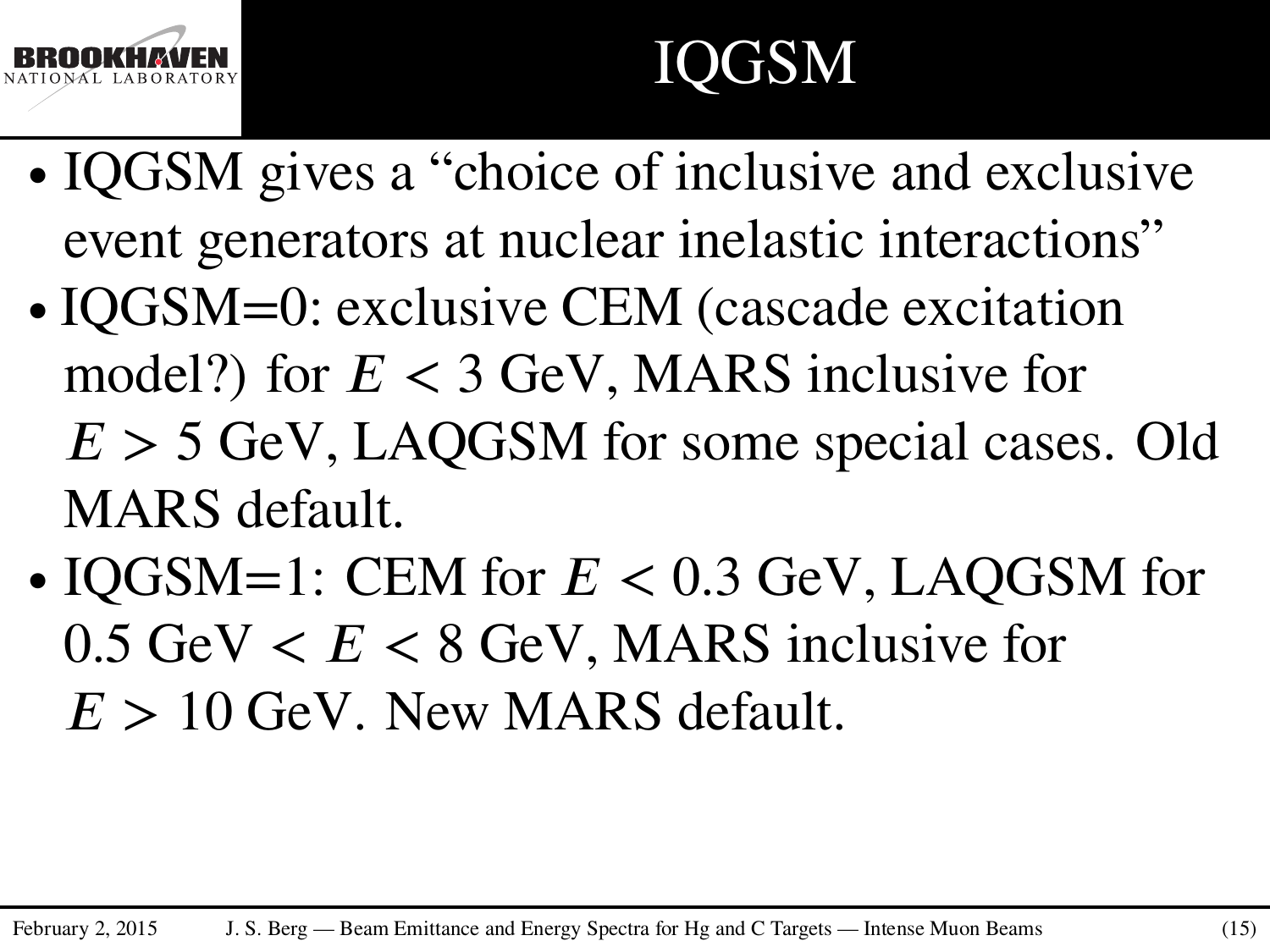

# IQGSM

- ∙ IQGSM gives a "choice of inclusive and exclusive event generators at nuclear inelastic interactions"
- ∙ IQGSM=0: exclusive CEM (cascade excitation model?) for  $E < 3$  GeV, MARS inclusive for  $E > 5$  GeV, LAQGSM for some special cases. Old MARS default.
- ∙ IQGSM=1: CEM for *𝐸 <* 0*.*3 GeV, LAQGSM for  $0.5$  GeV  $< E < 8$  GeV, MARS inclusive for  $E > 10$  GeV. New MARS default.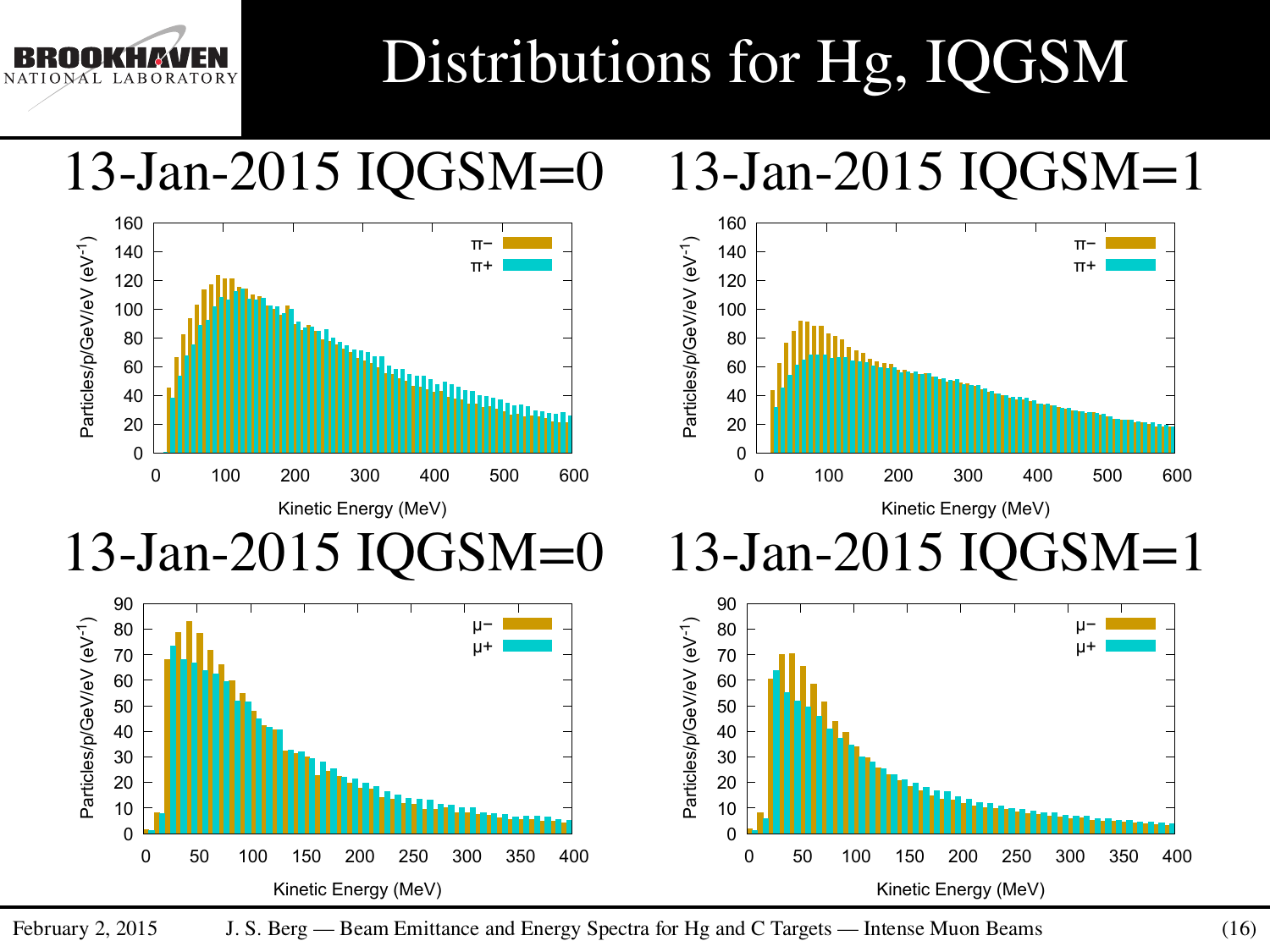## Distributions for Hg, IQGSM

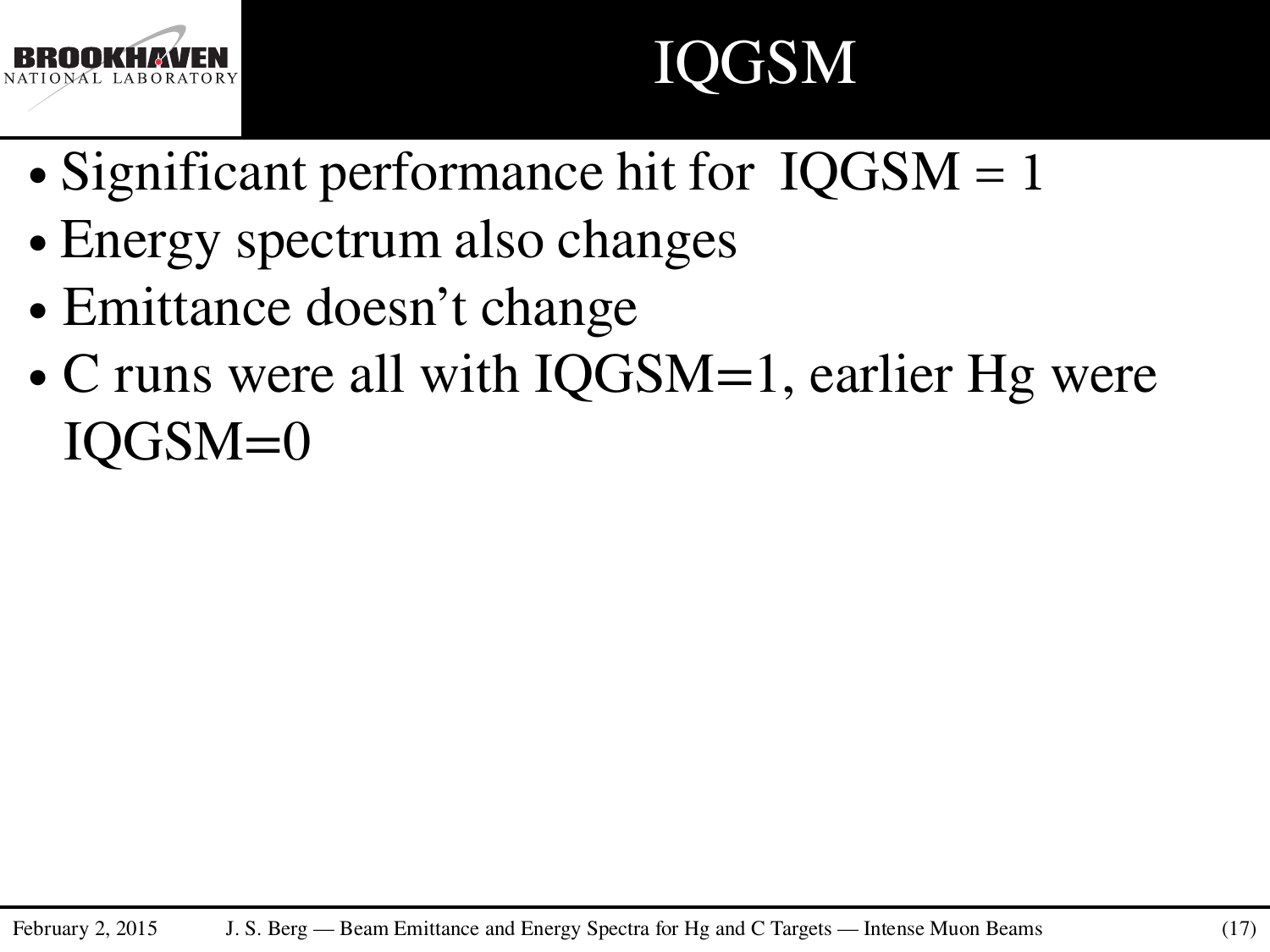

## IQGSM

- ∙ Significant performance hit for IQGSM = 1
- ∙ Energy spectrum also changes
- ∙ Emittance doesn't change
- ∙ C runs were all with IQGSM=1, earlier Hg were IQGSM=0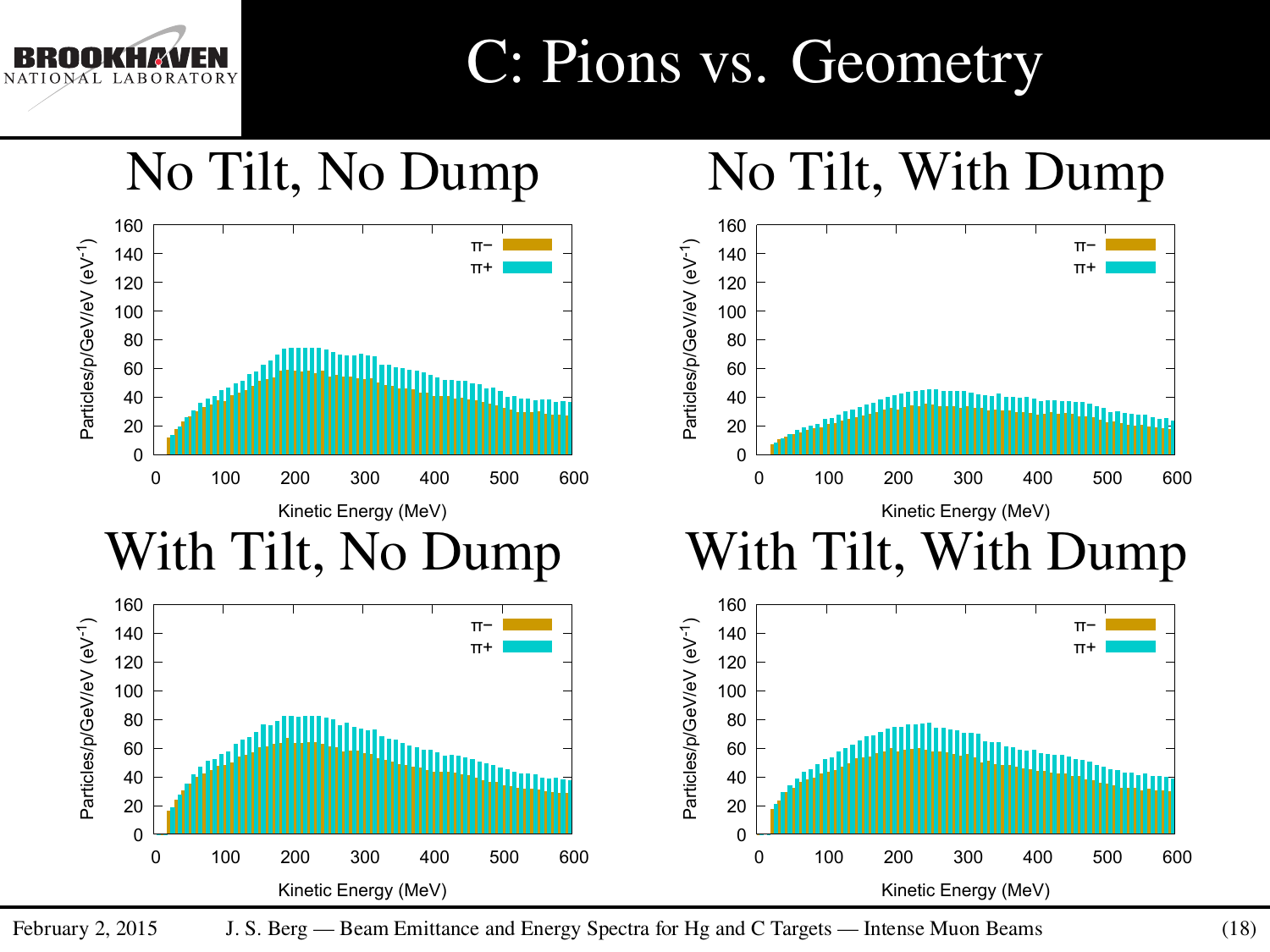### C: Pions vs. Geometry



February 2, 2015 J. S. Berg — Beam Emittance and Energy Spectra for Hg and C Targets — Intense Muon Beams (18)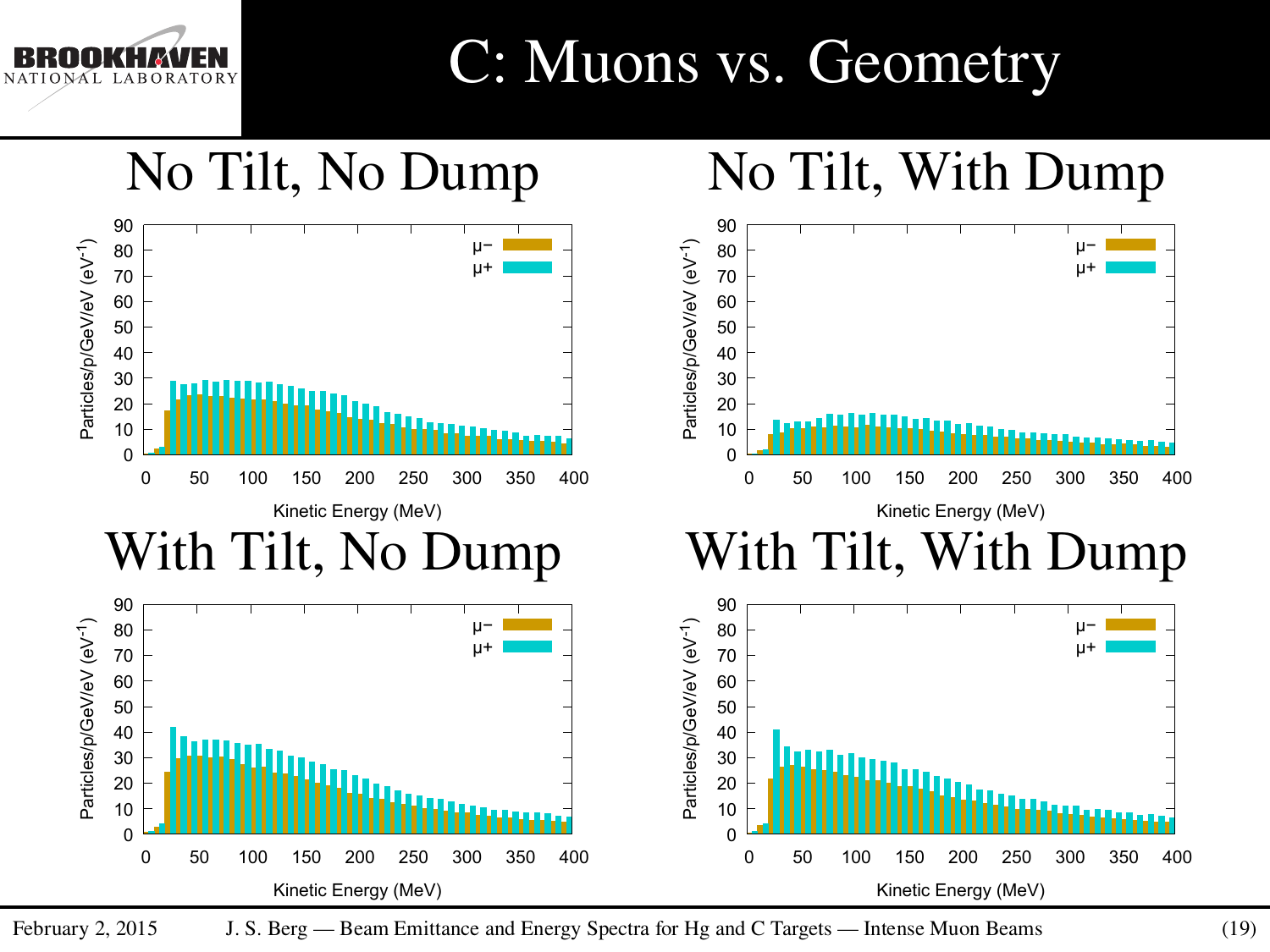### C: Muons vs. Geometry



February 2, 2015 J. S. Berg — Beam Emittance and Energy Spectra for Hg and C Targets — Intense Muon Beams (19)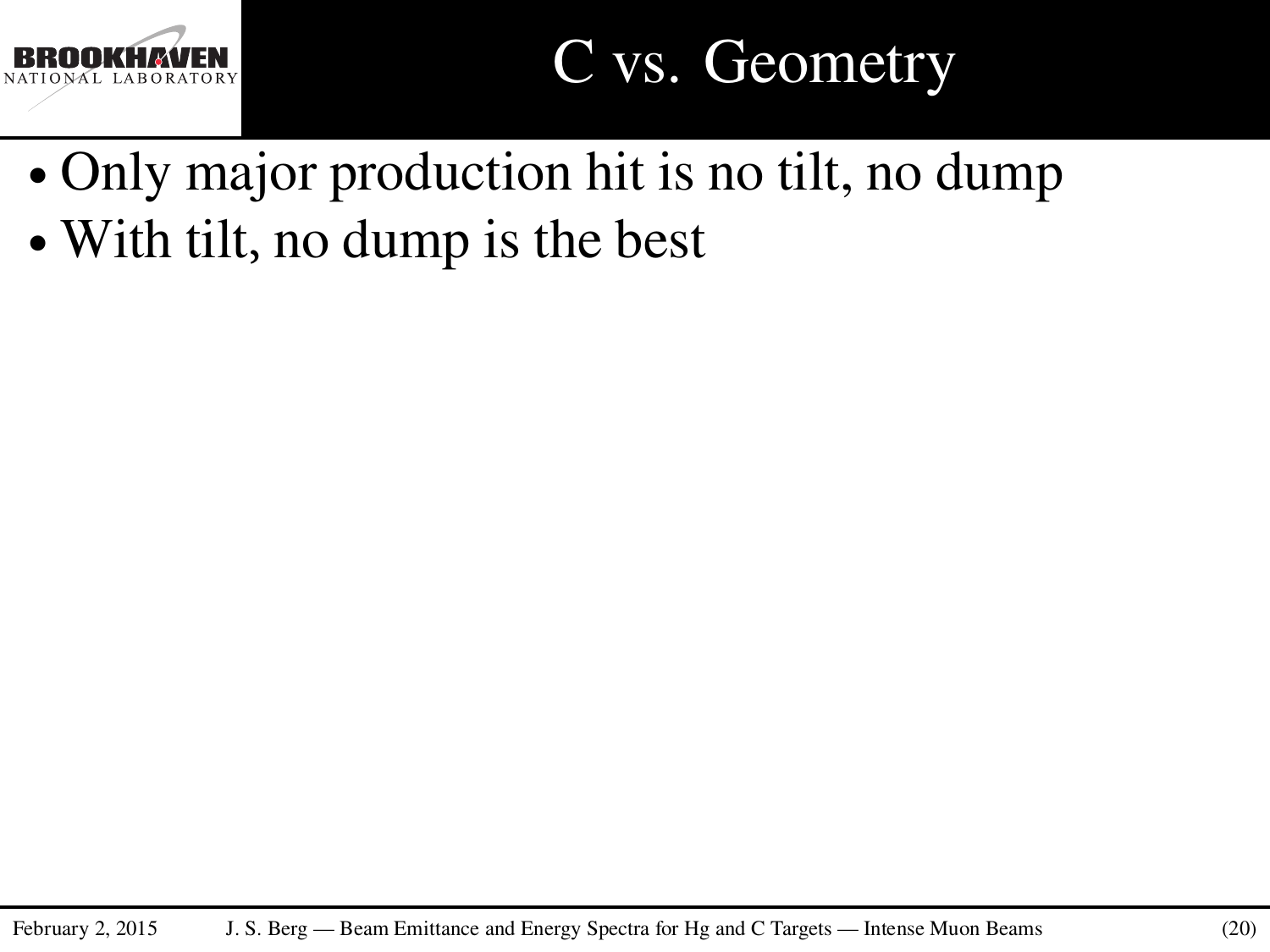

### C vs. Geometry

- ∙ Only major production hit is no tilt, no dump
- ∙ With tilt, no dump is the best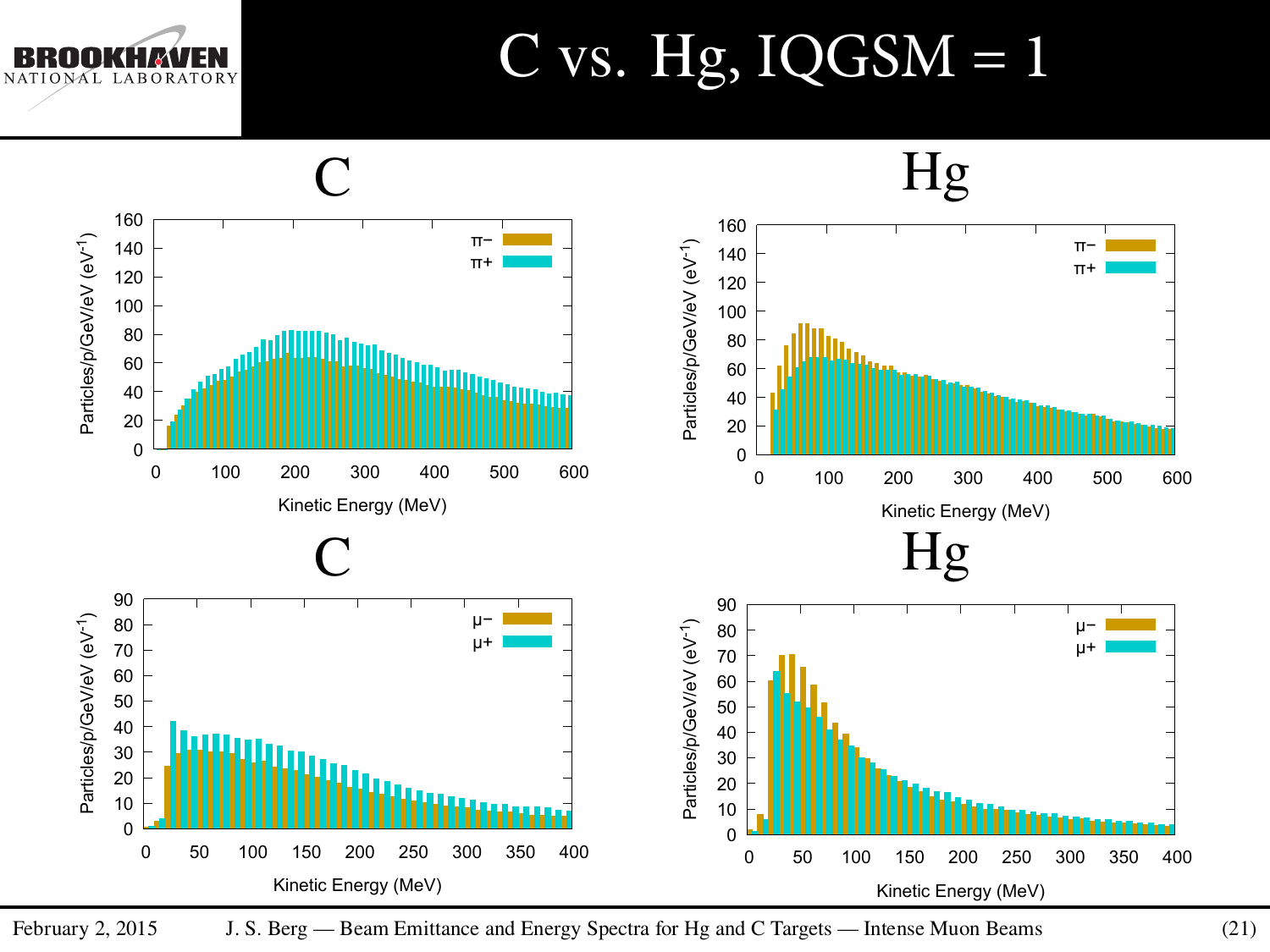NAL LABORATORY

### $C$  vs. Hg,  $IQGSM = 1$



February 2, 2015 J. S. Berg — Beam Emittance and Energy Spectra for Hg and C Targets — Intense Muon Beams (21)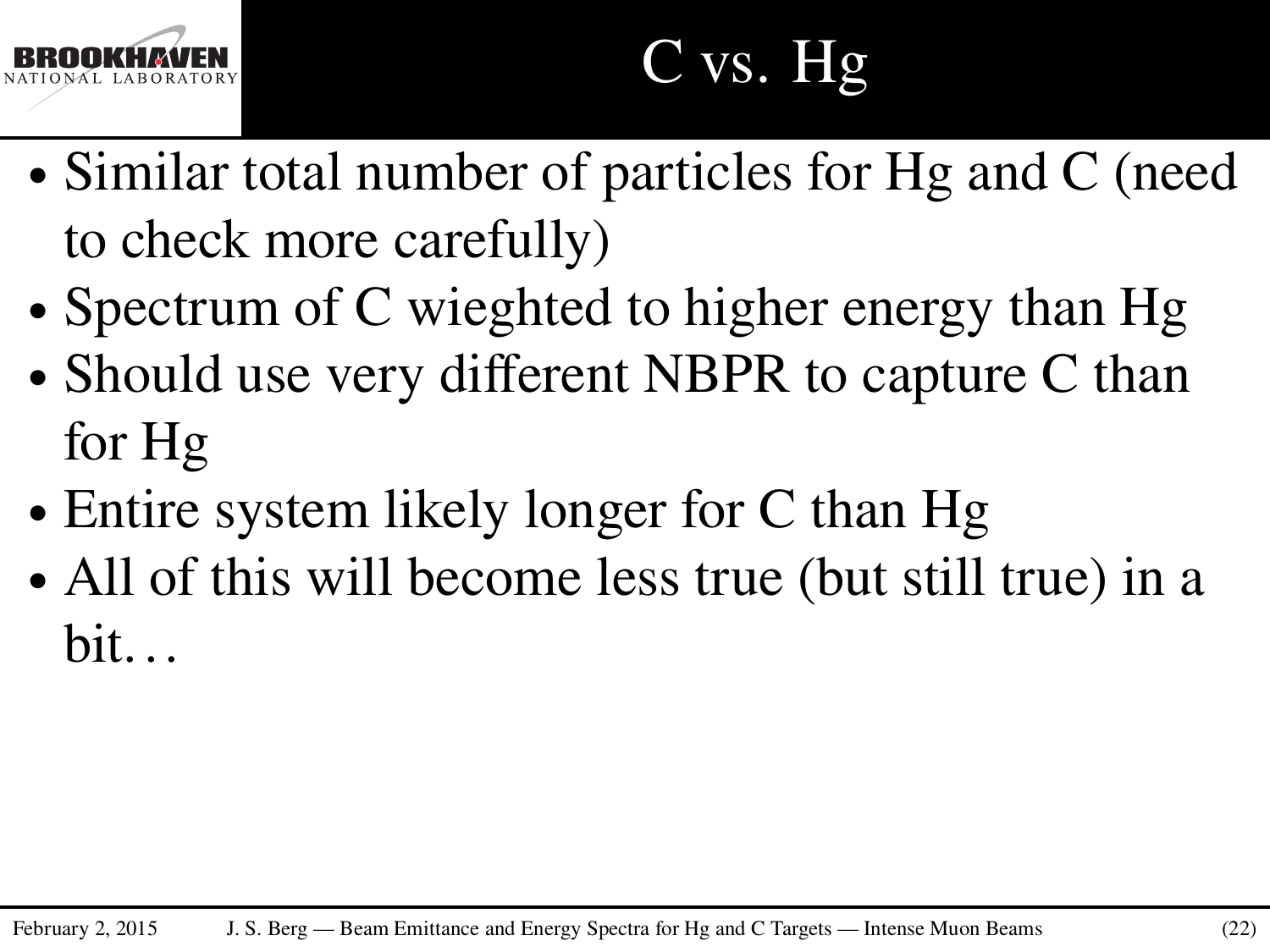

# C vs. Hg

- ∙ Similar total number of particles for Hg and C (need to check more carefully)
- ∙ Spectrum of C wieghted to higher energy than Hg
- ∙ Should use very different NBPR to capture C than for Hg
- ∙ Entire system likely longer for C than Hg
- ∙ All of this will become less true (but still true) in a bit. . .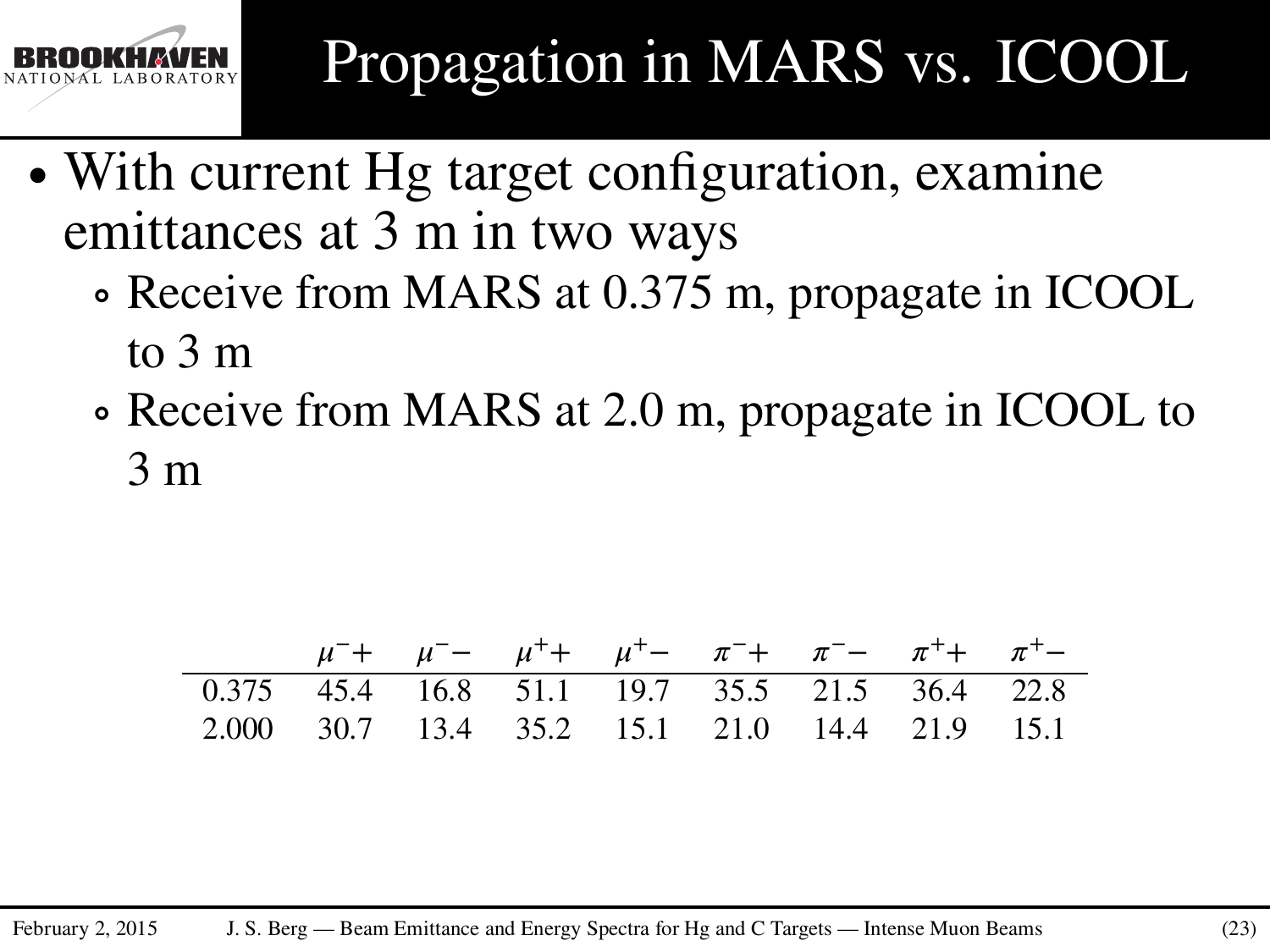

- ∙ With current Hg target configuration, examine emittances at 3 m in two ways
	- ∘ Receive from MARS at 0.375 m, propagate in ICOOL to 3 m
	- ∘ Receive from MARS at 2.0 m, propagate in ICOOL to 3 m

|                                               | $\mu^-$ + $\mu^-$ - $\mu^+$ + $\mu^+$ - $\pi^-$ + $\pi^-$ - $\pi^+$ + $\pi^+$ |  |  |  |  |
|-----------------------------------------------|-------------------------------------------------------------------------------|--|--|--|--|
| 0.375 45.4 16.8 51.1 19.7 35.5 21.5 36.4 22.8 |                                                                               |  |  |  |  |
| 2.000 30.7 13.4 35.2 15.1 21.0 14.4 21.9 15.1 |                                                                               |  |  |  |  |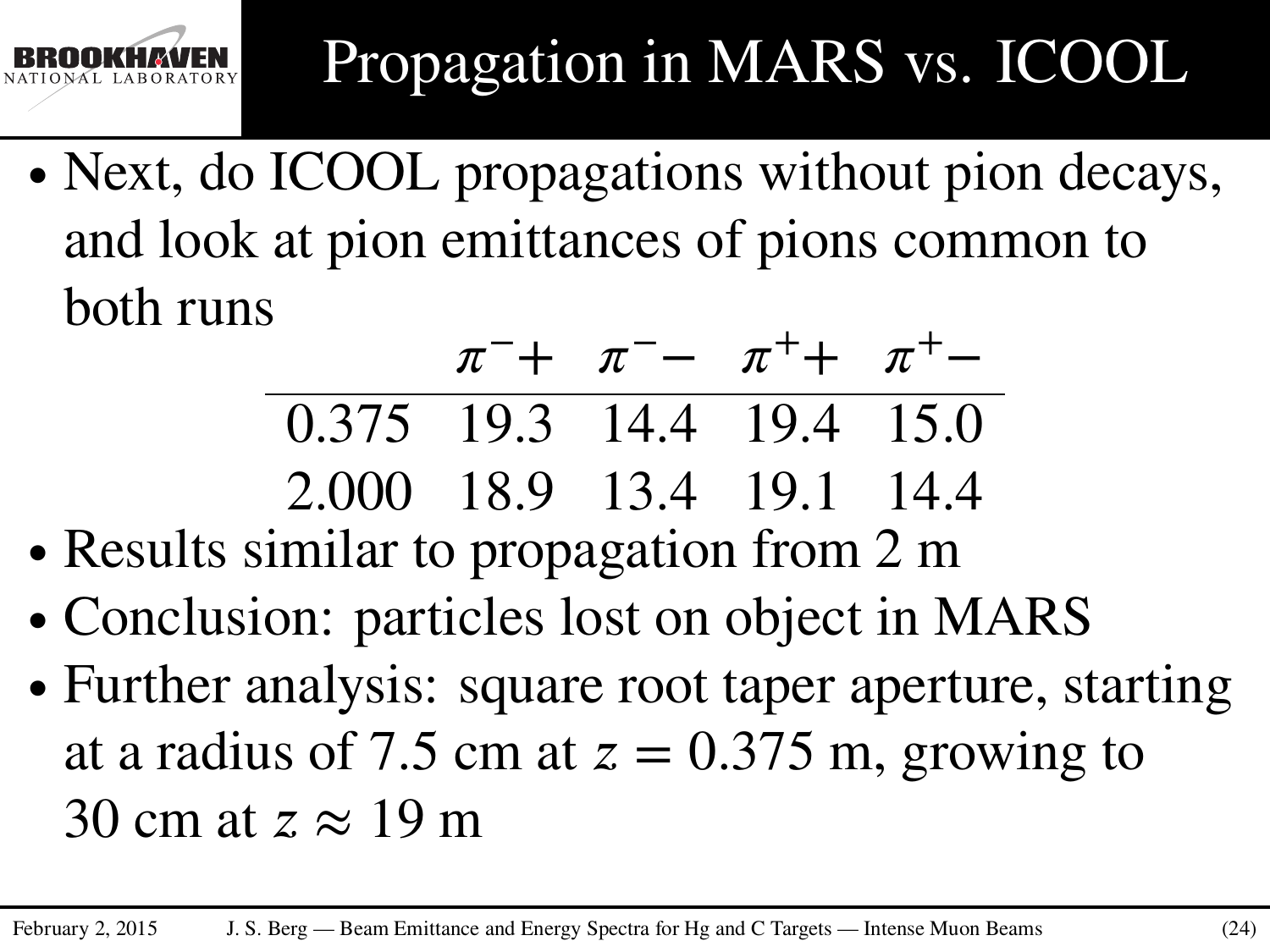

∙ Next, do ICOOL propagations without pion decays, and look at pion emittances of pions common to both runs

$$
\frac{\pi^{-} + \pi^{-} - \pi^{+} + \pi^{+}}{0.375 \quad 19.3 \quad 14.4 \quad 19.4 \quad 15.0}
$$
  
2.000 \quad 18.9 \quad 13.4 \quad 19.1 \quad 14.4

- ∙ Results similar to propagation from 2 m
- ∙ Conclusion: particles lost on object in MARS
- ∙ Further analysis: square root taper aperture, starting at a radius of 7.5 cm at  $z = 0.375$  m, growing to 30 cm at *z* ≈ 19 m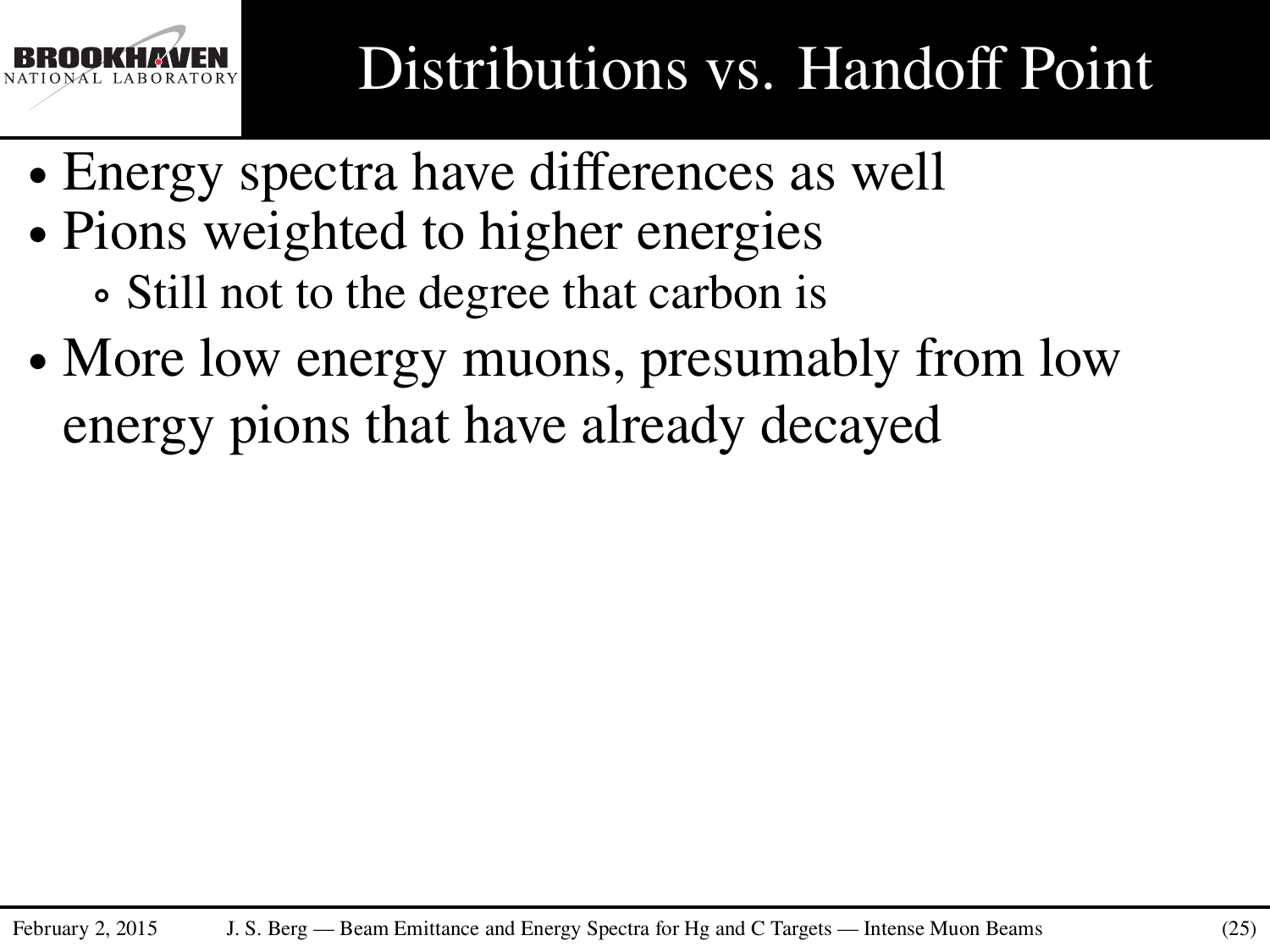

- ∙ Energy spectra have differences as well
- ∙ Pions weighted to higher energies ∘ Still not to the degree that carbon is
- ∙ More low energy muons, presumably from low energy pions that have already decayed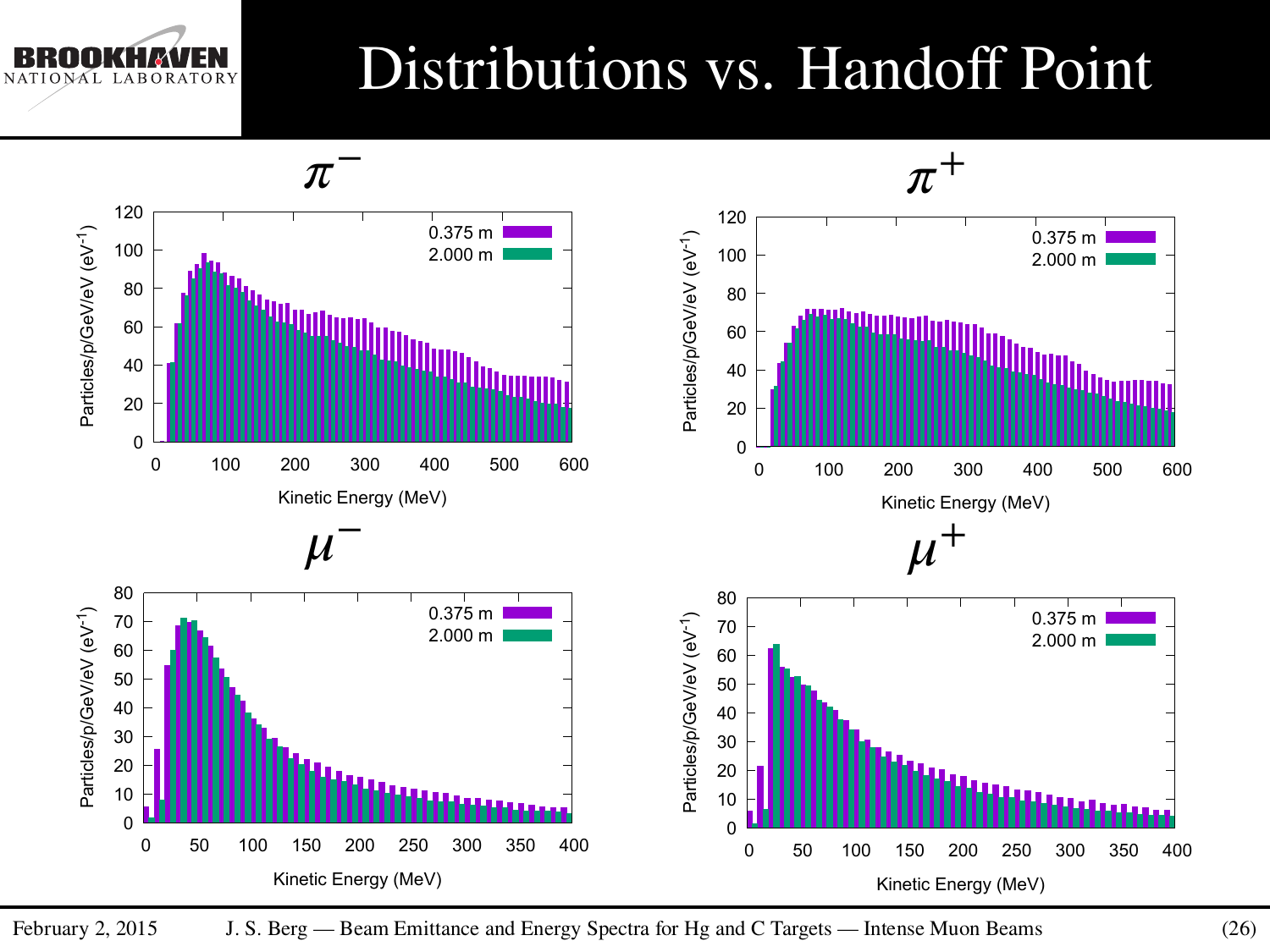LABORATORY NAL

### Distributions vs. Handoff Point

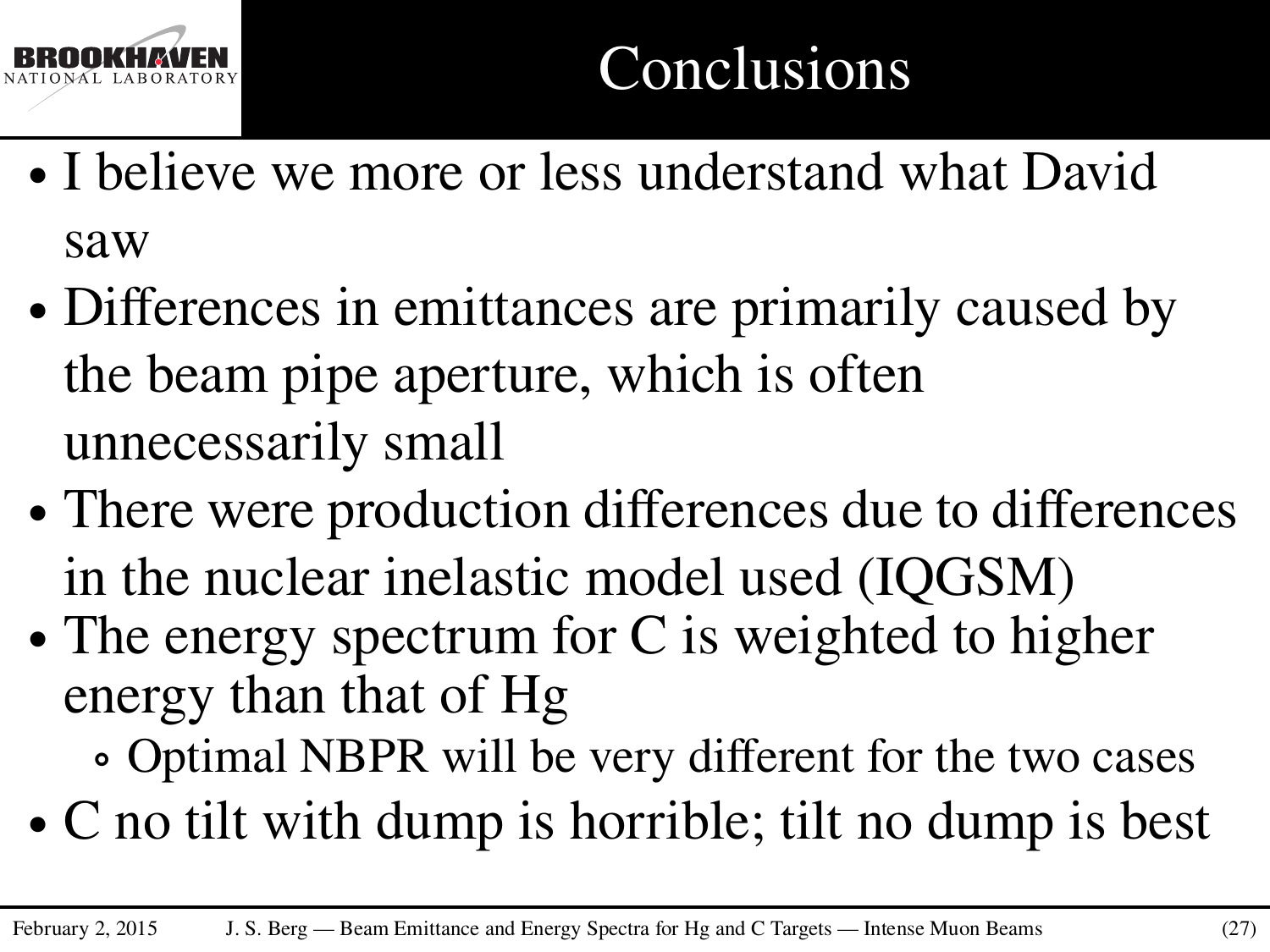

- ∙ I believe we more or less understand what David saw
- ∙ Differences in emittances are primarily caused by the beam pipe aperture, which is often unnecessarily small
- ∙ There were production differences due to differences in the nuclear inelastic model used (IQGSM)
- ∙ The energy spectrum for C is weighted to higher energy than that of Hg
	- ∘ Optimal NBPR will be very different for the two cases
- ∙ C no tilt with dump is horrible; tilt no dump is best